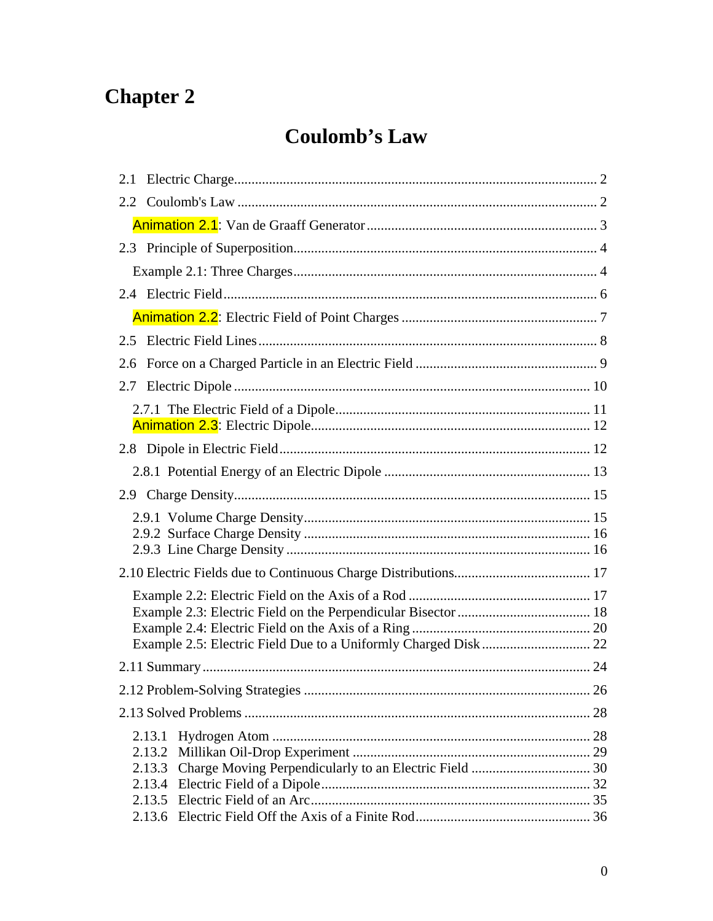# **Chapter 2**

# **Coulomb's Law**

| 2.5 |        |    |
|-----|--------|----|
| 2.6 |        |    |
|     |        |    |
|     |        |    |
|     |        |    |
|     |        |    |
|     |        |    |
|     |        |    |
|     |        |    |
|     |        |    |
|     |        |    |
|     |        |    |
|     |        |    |
|     |        |    |
|     |        |    |
|     |        | 26 |
|     |        |    |
|     | 2.13.1 |    |
|     |        |    |
|     |        |    |
|     |        |    |
|     |        |    |
|     |        |    |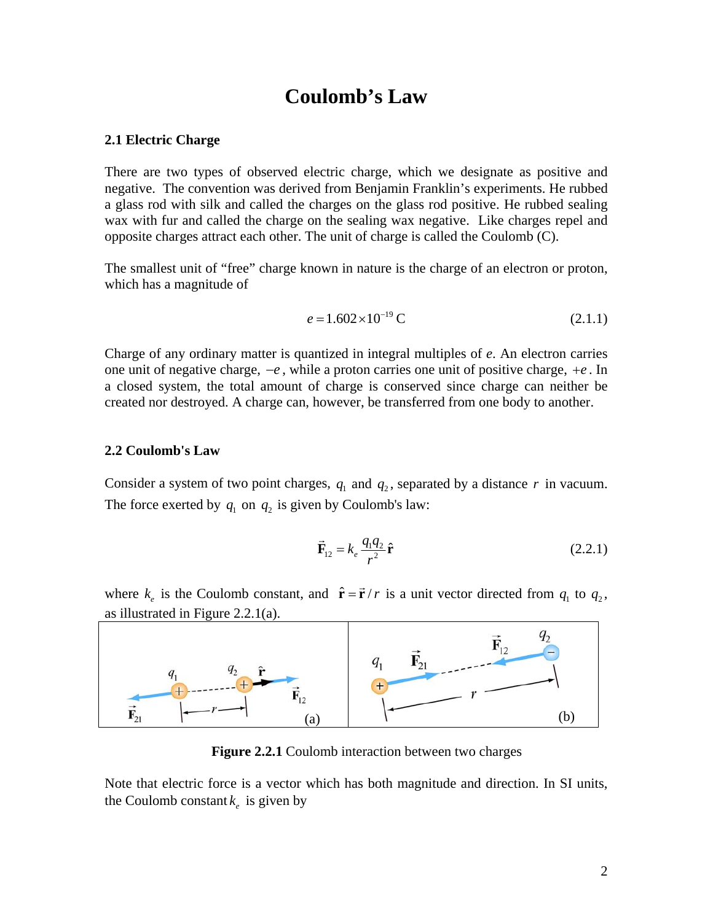# **Coulomb's Law**

# <span id="page-2-0"></span>**2.1 Electric Charge**

There are two types of observed electric charge, which we designate as positive and negative. The convention was derived from Benjamin Franklin's experiments. He rubbed a glass rod with silk and called the charges on the glass rod positive. He rubbed sealing wax with fur and called the charge on the sealing wax negative. Like charges repel and opposite charges attract each other. The unit of charge is called the Coulomb (C).

The smallest unit of "free" charge known in nature is the charge of an electron or proton, which has a magnitude of

$$
e = 1.602 \times 10^{-19} \text{ C}
$$
 (2.1.1)

Charge of any ordinary matter is quantized in integral multiples of *e*. An electron carries one unit of negative charge, −*e* , while a proton carries one unit of positive charge, +*e* . In a closed system, the total amount of charge is conserved since charge can neither be created nor destroyed. A charge can, however, be transferred from one body to another.

#### **2.2 Coulomb's Law**

Consider a system of two point charges,  $q_1$  and  $q_2$ , separated by a distance r in vacuum. The force exerted by  $q_1$  on  $q_2$  is given by Coulomb's law:

$$
\vec{\mathbf{F}}_{12} = k_e \frac{q_1 q_2}{r^2} \hat{\mathbf{r}} \tag{2.2.1}
$$

where  $k_e$  is the Coulomb constant, and  $\hat{\mathbf{r}} = \vec{\mathbf{r}} / r$  is a unit vector directed from  $q_1$  to  $q_2$ , as illustrated in Figure 2.2.1(a).



**Figure 2.2.1** Coulomb interaction between two charges

Note that electric force is a vector which has both magnitude and direction. In SI units, the Coulomb constant  $k_e$  is given by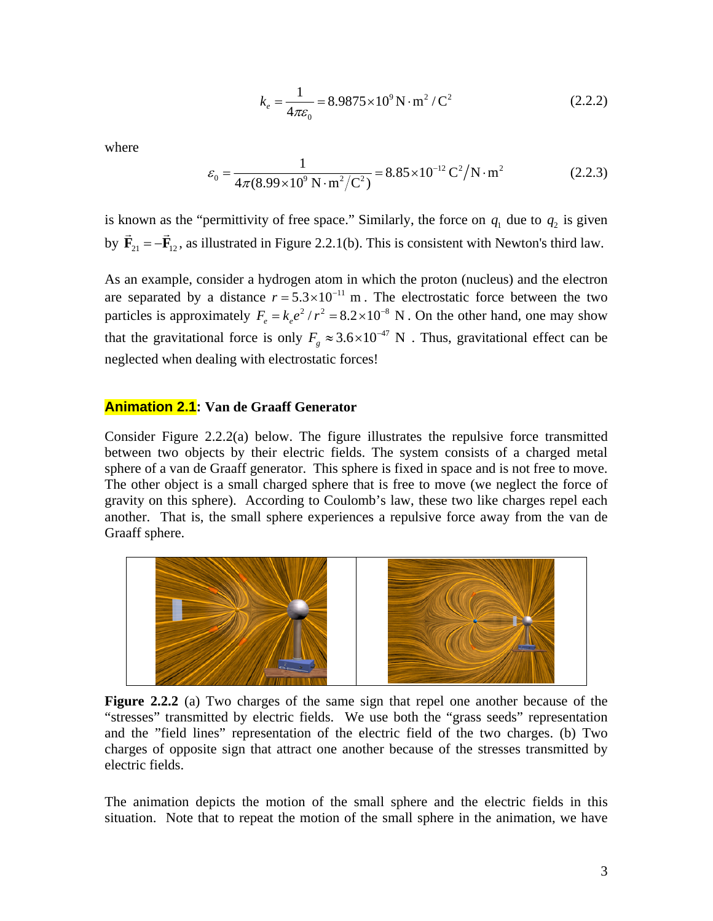$$
k_e = \frac{1}{4\pi\varepsilon_0} = 8.9875 \times 10^9 \,\text{N} \cdot \text{m}^2 / \text{C}^2 \tag{2.2.2}
$$

<span id="page-3-0"></span>where

$$
\varepsilon_0 = \frac{1}{4\pi (8.99 \times 10^9 \text{ N} \cdot \text{m}^2/\text{C}^2)} = 8.85 \times 10^{-12} \text{ C}^2/\text{N} \cdot \text{m}^2 \tag{2.2.3}
$$

is known as the "permittivity of free space." Similarly, the force on  $q_1$  due to  $q_2$  is given by  $\mathbf{F}_{21} = -\mathbf{F}_{12}$ , as illustrated in Figure 2.2.1(b). This is consistent with Newton's third law.  $\rightarrow$ 

As an example, consider a hydrogen atom in which the proton (nucleus) and the electron are separated by a distance  $r = 5.3 \times 10^{-11}$  m. The electrostatic force between the two particles is approximately  $F_e = k_e e^2 / r^2 = 8.2 \times 10^{-8}$  N. On the other hand, one may show that the gravitational force is only  $F<sub>g</sub> \approx 3.6 \times 10^{-47}$  N. Thus, gravitational effect can be neglected when dealing with electrostatic forces!

# **Animation 2.1: Van de Graaff Generator**

Consider Figure 2.2.2(a) below. The figure illustrates the repulsive force transmitted between two objects by their electric fields. The system consists of a charged metal sphere of a van de Graaff generator. This sphere is fixed in space and is not free to move. The other object is a small charged sphere that is free to move (we neglect the force of gravity on this sphere). According to Coulomb's law, these two like charges repel each another. That is, the small sphere experiences a repulsive force away from the van de Graaff sphere.



**Figure 2.2.2** (a) Two charges of the same sign that repel one another because of the "stresses" transmitted by electric fields. We use both the "grass seeds" representation and the "field lines" representation of the electric field of the two charges. (b) Two charges of opposite sign that attract one another because of the stresses transmitted by electric fields.

The animation depicts the motion of the small sphere and the electric fields in this situation. Note that to repeat the motion of the small sphere in the animation, we have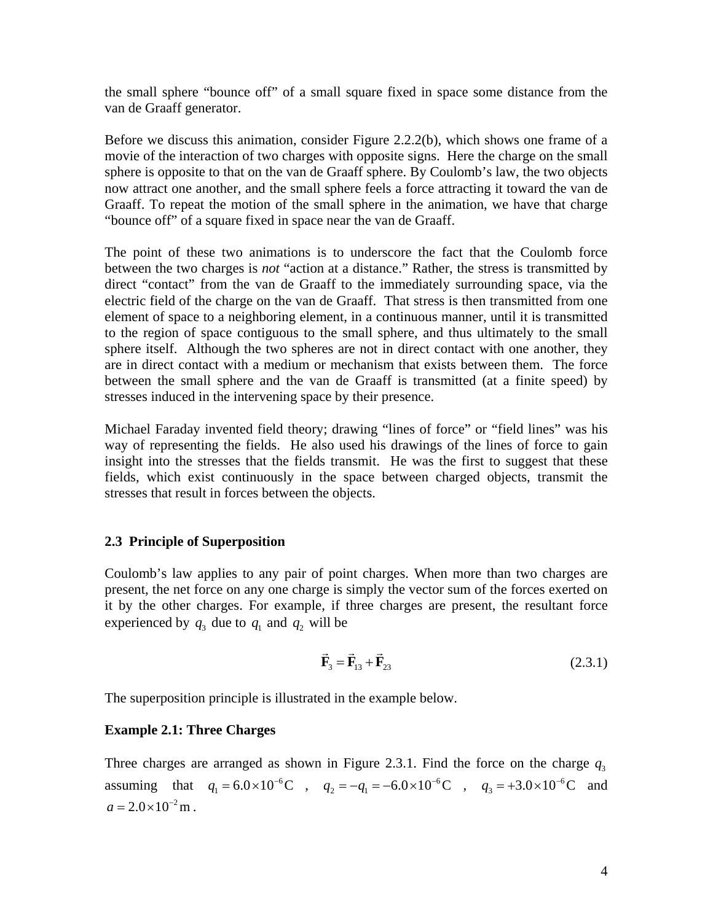<span id="page-4-0"></span>the small sphere "bounce off" of a small square fixed in space some distance from the van de Graaff generator.

Before we discuss this animation, consider Figure 2.2.2(b), which shows one frame of a movie of the interaction of two charges with opposite signs. Here the charge on the small sphere is opposite to that on the van de Graaff sphere. By Coulomb's law, the two objects now attract one another, and the small sphere feels a force attracting it toward the van de Graaff. To repeat the motion of the small sphere in the animation, we have that charge "bounce off" of a square fixed in space near the van de Graaff.

The point of these two animations is to underscore the fact that the Coulomb force between the two charges is *not* "action at a distance." Rather, the stress is transmitted by direct "contact" from the van de Graaff to the immediately surrounding space, via the electric field of the charge on the van de Graaff. That stress is then transmitted from one element of space to a neighboring element, in a continuous manner, until it is transmitted to the region of space contiguous to the small sphere, and thus ultimately to the small sphere itself. Although the two spheres are not in direct contact with one another, they are in direct contact with a medium or mechanism that exists between them. The force between the small sphere and the van de Graaff is transmitted (at a finite speed) by stresses induced in the intervening space by their presence.

Michael Faraday invented field theory; drawing "lines of force" or "field lines" was his way of representing the fields. He also used his drawings of the lines of force to gain insight into the stresses that the fields transmit. He was the first to suggest that these fields, which exist continuously in the space between charged objects, transmit the stresses that result in forces between the objects.

# **2.3 Principle of Superposition**

Coulomb's law applies to any pair of point charges. When more than two charges are present, the net force on any one charge is simply the vector sum of the forces exerted on it by the other charges. For example, if three charges are present, the resultant force experienced by  $q_3$  due to  $q_1$  and  $q_2$  will be

$$
\vec{\mathbf{F}}_3 = \vec{\mathbf{F}}_{13} + \vec{\mathbf{F}}_{23} \tag{2.3.1}
$$

The superposition principle is illustrated in the example below.

#### **Example 2.1: Three Charges**

Three charges are arranged as shown in Figure 2.3.1. Find the force on the charge  $q_3$ assuming that  $q_1 = 6.0 \times 10^{-6}$ C,  $q_2 = -q_1 = -6.0 \times 10^{-6}$ C,  $q_3 = +3.0 \times 10^{-6}$ C and  $a = 2.0 \times 10^{-2}$  m.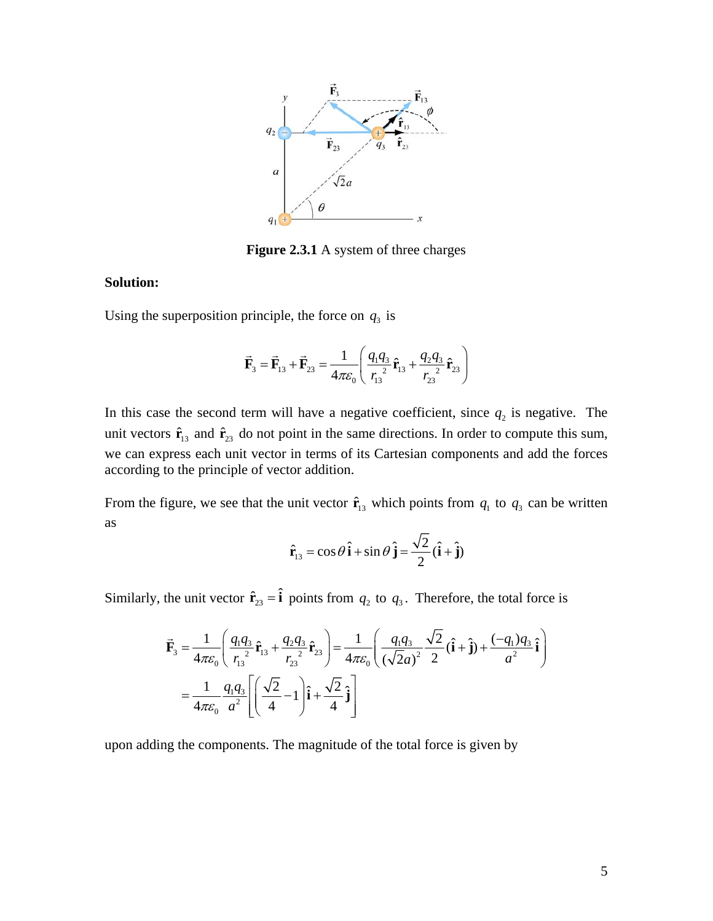

**Figure 2.3.1** A system of three charges

# **Solution:**

Using the superposition principle, the force on  $q_3$  is

$$
\vec{\mathbf{F}}_3 = \vec{\mathbf{F}}_{13} + \vec{\mathbf{F}}_{23} = \frac{1}{4\pi\varepsilon_0} \left( \frac{q_1 q_3}{r_{13}^2} \hat{\mathbf{r}}_{13} + \frac{q_2 q_3}{r_{23}^2} \hat{\mathbf{r}}_{23} \right)
$$

In this case the second term will have a negative coefficient, since  $q_2$  is negative. The unit vectors  $\hat{\mathbf{r}}_{13}$  and  $\hat{\mathbf{r}}_{23}$  do not point in the same directions. In order to compute this sum, we can express each unit vector in terms of its Cartesian components and add the forces according to the principle of vector addition.

From the figure, we see that the unit vector  $\hat{\mathbf{r}}_{13}$  which points from  $q_1$  to  $q_3$  can be written as

$$
\hat{\mathbf{r}}_{13} = \cos\theta \,\hat{\mathbf{i}} + \sin\theta \,\hat{\mathbf{j}} = \frac{\sqrt{2}}{2}(\hat{\mathbf{i}} + \hat{\mathbf{j}})
$$

Similarly, the unit vector  $\hat{\mathbf{r}}_{23} = \hat{\mathbf{i}}$  points from  $q_2$  to  $q_3$ . Therefore, the total force is

$$
\vec{\mathbf{F}}_3 = \frac{1}{4\pi\epsilon_0} \left( \frac{q_1 q_3}{r_{13}^2} \hat{\mathbf{r}}_{13} + \frac{q_2 q_3}{r_{23}^2} \hat{\mathbf{r}}_{23} \right) = \frac{1}{4\pi\epsilon_0} \left( \frac{q_1 q_3}{(\sqrt{2}a)^2} \frac{\sqrt{2}}{2} (\hat{\mathbf{i}} + \hat{\mathbf{j}}) + \frac{(-q_1)q_3}{a^2} \hat{\mathbf{i}} \right)
$$
\n
$$
= \frac{1}{4\pi\epsilon_0} \frac{q_1 q_3}{a^2} \left[ \left( \frac{\sqrt{2}}{4} - 1 \right) \hat{\mathbf{i}} + \frac{\sqrt{2}}{4} \hat{\mathbf{j}} \right]
$$

upon adding the components. The magnitude of the total force is given by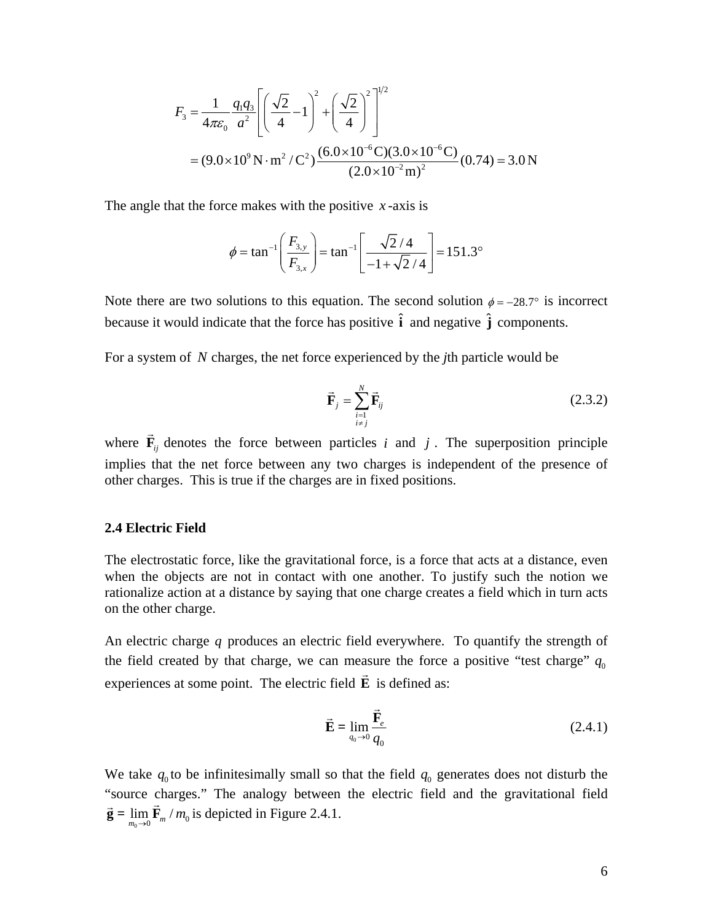<span id="page-6-0"></span>
$$
F_3 = \frac{1}{4\pi\varepsilon_0} \frac{q_1 q_3}{a^2} \left[ \left( \frac{\sqrt{2}}{4} - 1 \right)^2 + \left( \frac{\sqrt{2}}{4} \right)^2 \right]^{1/2}
$$
  
=  $(9.0 \times 10^9 \,\text{N} \cdot \text{m}^2/\text{C}^2) \frac{(6.0 \times 10^{-6} \,\text{C})(3.0 \times 10^{-6} \,\text{C})}{(2.0 \times 10^{-2} \,\text{m})^2} (0.74) = 3.0 \,\text{N}$ 

The angle that the force makes with the positive *x* -axis is

$$
\phi = \tan^{-1}\left(\frac{F_{3,y}}{F_{3,x}}\right) = \tan^{-1}\left[\frac{\sqrt{2}/4}{-1+\sqrt{2}/4}\right] = 151.3^{\circ}
$$

Note there are two solutions to this equation. The second solution  $\phi = -28.7^{\circ}$  is incorrect because it would indicate that the force has positive  $\hat{\mathbf{i}}$  and negative  $\hat{\mathbf{j}}$  components.

For a system of *N* charges, the net force experienced by the *j*th particle would be

$$
\vec{\mathbf{F}}_j = \sum_{\substack{i=1 \ i \neq j}}^N \vec{\mathbf{F}}_{ij} \tag{2.3.2}
$$

where  $\vec{F}_{ij}$  denotes the force between particles *i* and *j*. The superposition principle implies that the net force between any two charges is independent of the presence of other charges. This is true if the charges are in fixed positions.

#### **2.4 Electric Field**

The electrostatic force, like the gravitational force, is a force that acts at a distance, even when the objects are not in contact with one another. To justify such the notion we rationalize action at a distance by saying that one charge creates a field which in turn acts on the other charge.

An electric charge *q* produces an electric field everywhere. To quantify the strength of the field created by that charge, we can measure the force a positive "test charge"  $q_0$ experiences at some point. The electric field **E** is defined as:

$$
\vec{\mathbf{E}} = \lim_{q_0 \to 0} \frac{\vec{\mathbf{F}}_e}{q_0} \tag{2.4.1}
$$

We take  $q_0$  to be infinitesimally small so that the field  $q_0$  generates does not disturb the "source charges." The analogy between the electric field and the gravitational field source enarges. The analogy between  $\vec{g} = \lim_{m_0 \to 0} \vec{F}_m / m_0$  is depicted in Figure 2.4.1.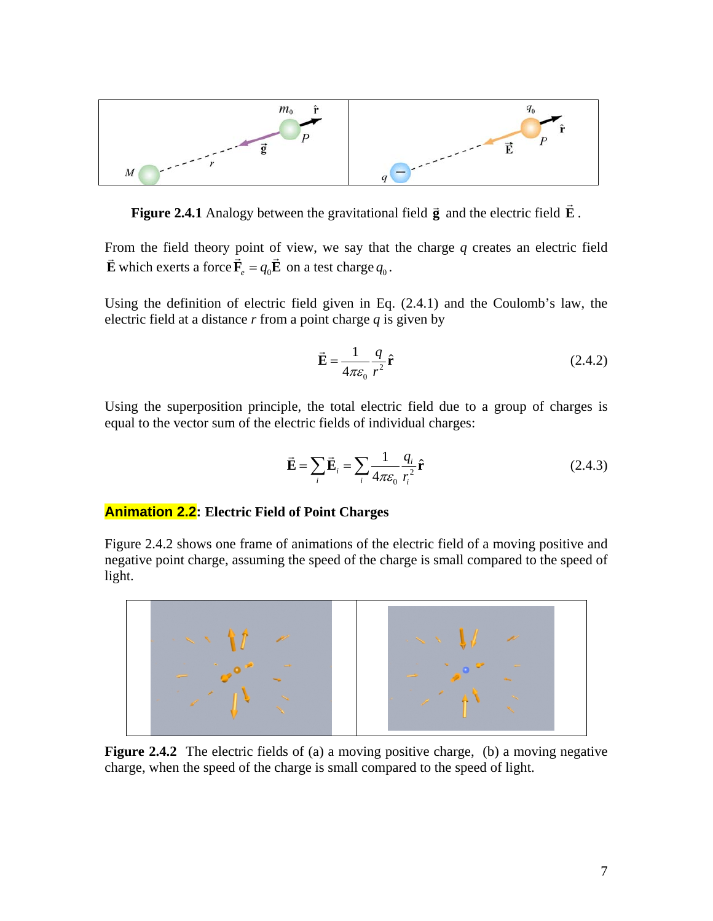<span id="page-7-0"></span>

**Figure 2.4.1** Analogy between the gravitational field **g** and the electric field **E**.

From the field theory point of view, we say that the charge *q* creates an electric field **E** which exerts a force  $\vec{F}_e = q_0 \vec{E}$  on a test charge  $q_0$ .

Using the definition of electric field given in Eq. (2.4.1) and the Coulomb's law, the electric field at a distance *r* from a point charge *q* is given by

$$
\vec{\mathbf{E}} = \frac{1}{4\pi\varepsilon_0} \frac{q}{r^2} \hat{\mathbf{r}} \tag{2.4.2}
$$

Using the superposition principle, the total electric field due to a group of charges is equal to the vector sum of the electric fields of individual charges:

$$
\vec{\mathbf{E}} = \sum_{i} \vec{\mathbf{E}}_{i} = \sum_{i} \frac{1}{4\pi \varepsilon_{0}} \frac{q_{i}}{r_{i}^{2}} \hat{\mathbf{r}}
$$
(2.4.3)

# **Animation 2.2: Electric Field of Point Charges**

Figure 2.4.2 shows one frame of animations of the electric field of a moving positive and negative point charge, assuming the speed of the charge is small compared to the speed of light.



**Figure 2.4.2** The electric fields of (a) a moving positive charge, (b) a moving negative charge, when the speed of the charge is small compared to the speed of light.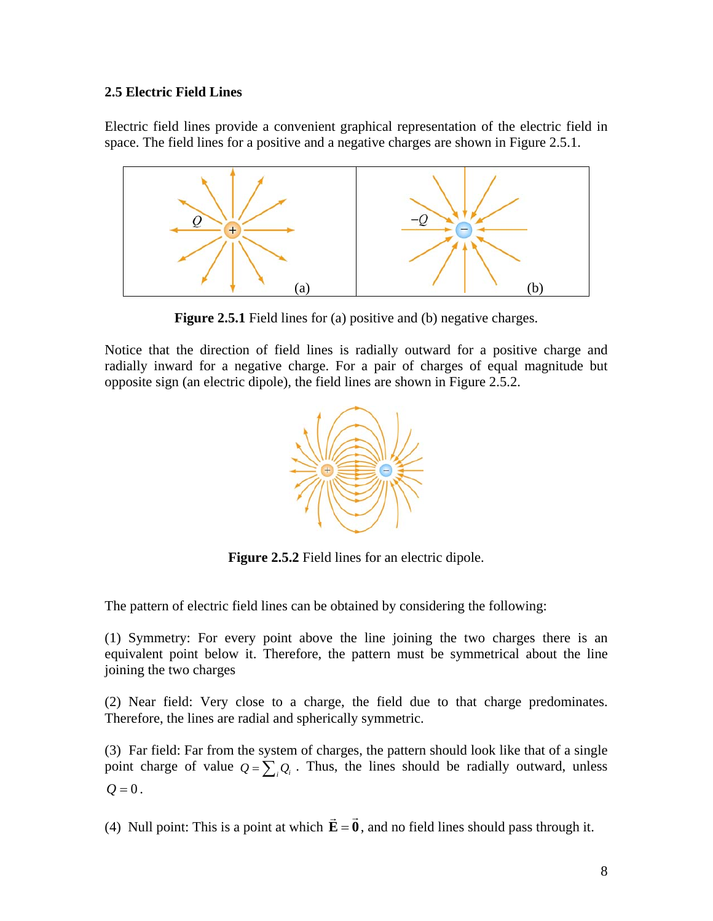# <span id="page-8-0"></span>**2.5 Electric Field Lines**

Electric field lines provide a convenient graphical representation of the electric field in space. The field lines for a positive and a negative charges are shown in Figure 2.5.1.



**Figure 2.5.1** Field lines for (a) positive and (b) negative charges.

Notice that the direction of field lines is radially outward for a positive charge and radially inward for a negative charge. For a pair of charges of equal magnitude but opposite sign (an electric dipole), the field lines are shown in Figure 2.5.2.



**Figure 2.5.2** Field lines for an electric dipole.

The pattern of electric field lines can be obtained by considering the following:

(1) Symmetry: For every point above the line joining the two charges there is an equivalent point below it. Therefore, the pattern must be symmetrical about the line joining the two charges

(2) Near field: Very close to a charge, the field due to that charge predominates. Therefore, the lines are radial and spherically symmetric.

(3) Far field: Far from the system of charges, the pattern should look like that of a single point charge of value  $Q = \sum_i Q_i$ . Thus, the lines should be radially outward, unless  $Q = 0$ .

(4) Null point: This is a point at which  $\vec{E} = \vec{0}$ , and no field lines should pass through it.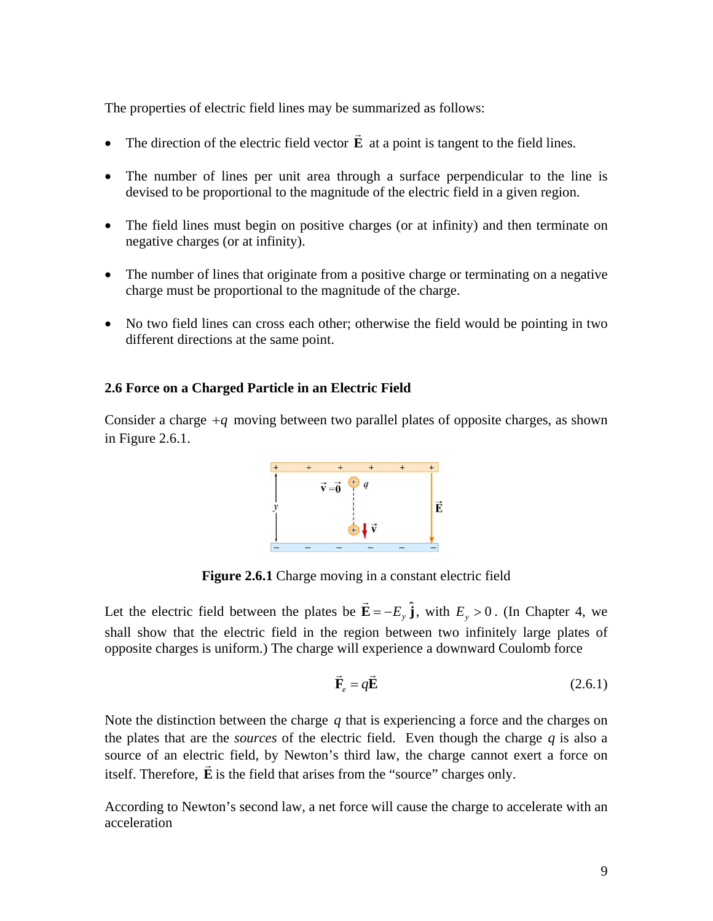<span id="page-9-0"></span>The properties of electric field lines may be summarized as follows:

- The direction of the electric field vector **E**  $\rightarrow$ at a point is tangent to the field lines.
- The number of lines per unit area through a surface perpendicular to the line is devised to be proportional to the magnitude of the electric field in a given region.
- The field lines must begin on positive charges (or at infinity) and then terminate on negative charges (or at infinity).
- The number of lines that originate from a positive charge or terminating on a negative charge must be proportional to the magnitude of the charge.
- No two field lines can cross each other; otherwise the field would be pointing in two different directions at the same point.

# **2.6 Force on a Charged Particle in an Electric Field**

Consider a charge  $+q$  moving between two parallel plates of opposite charges, as shown in Figure 2.6.1.



**Figure 2.6.1** Charge moving in a constant electric field

Let the electric field between the plates be  $\vec{E} = -E_y \hat{j}$ , with  $E_y > 0$ . (In Chapter 4, we shall show that the electric field in the region between two infinitely large plates of opposite charges is uniform.) The charge will experience a downward Coulomb force

$$
\vec{\mathbf{F}}_e = q\vec{\mathbf{E}} \tag{2.6.1}
$$

Note the distinction between the charge  $q$  that is experiencing a force and the charges on the plates that are the *sources* of the electric field. Even though the charge  $q$  is also a source of an electric field, by Newton's third law, the charge cannot exert a force on itself. Therefore, **E** is the field that arises from the "source" charges only.

According to Newton's second law, a net force will cause the charge to accelerate with an acceleration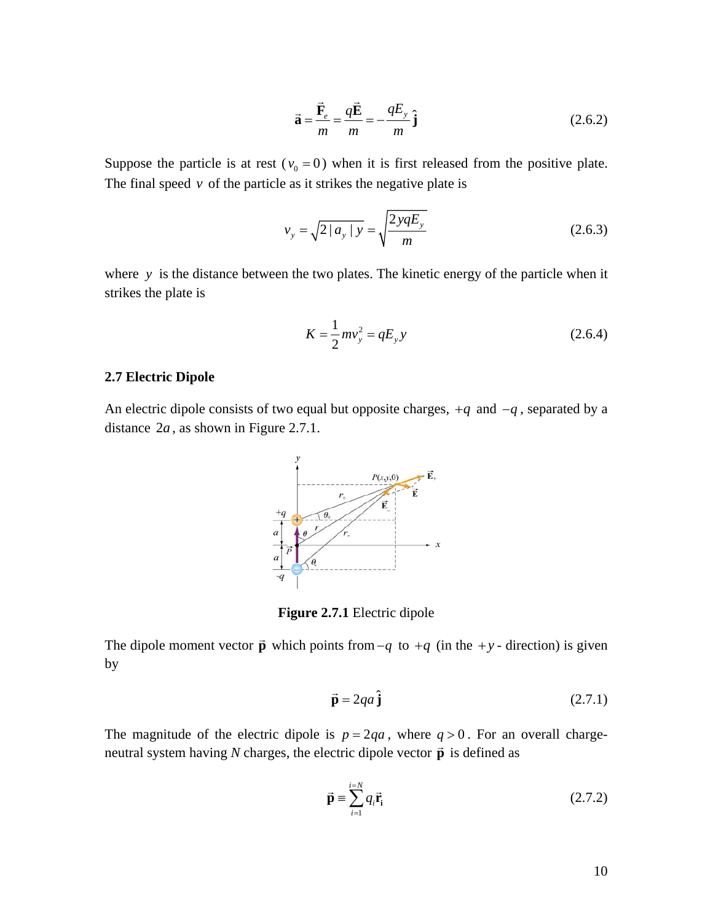$$
\vec{\mathbf{a}} = \frac{\vec{\mathbf{F}}_e}{m} = \frac{q\vec{\mathbf{E}}}{m} = -\frac{qE_y}{m}\hat{\mathbf{j}}
$$
 (2.6.2)

<span id="page-10-0"></span>Suppose the particle is at rest ( $v_0 = 0$ ) when it is first released from the positive plate. The final speed  $\nu$  of the particle as it strikes the negative plate is

$$
v_y = \sqrt{2|a_y|y} = \sqrt{\frac{2yqE_y}{m}}
$$
 (2.6.3)

where *y* is the distance between the two plates. The kinetic energy of the particle when it strikes the plate is

$$
K = \frac{1}{2}mv_y^2 = qE_y y
$$
 (2.6.4)

#### **2.7 Electric Dipole**

An electric dipole consists of two equal but opposite charges,  $+q$  and  $-q$ , separated by a distance  $2a$ , as shown in Figure 2.7.1.



**Figure 2.7.1** Electric dipole

The dipole moment vector  $\vec{p}$  which points from  $-q$  to  $+q$  (in the  $+y$ - direction) is given by

$$
\vec{\mathbf{p}} = 2qa\,\hat{\mathbf{j}}\tag{2.7.1}
$$

The magnitude of the electric dipole is  $p = 2qa$ , where  $q > 0$ . For an overall chargeneutral system having *N* charges, the electric dipole vector  $\vec{p}$  is defined as

$$
\vec{\mathbf{p}} = \sum_{i=1}^{i=N} q_i \vec{\mathbf{r}}_i \tag{2.7.2}
$$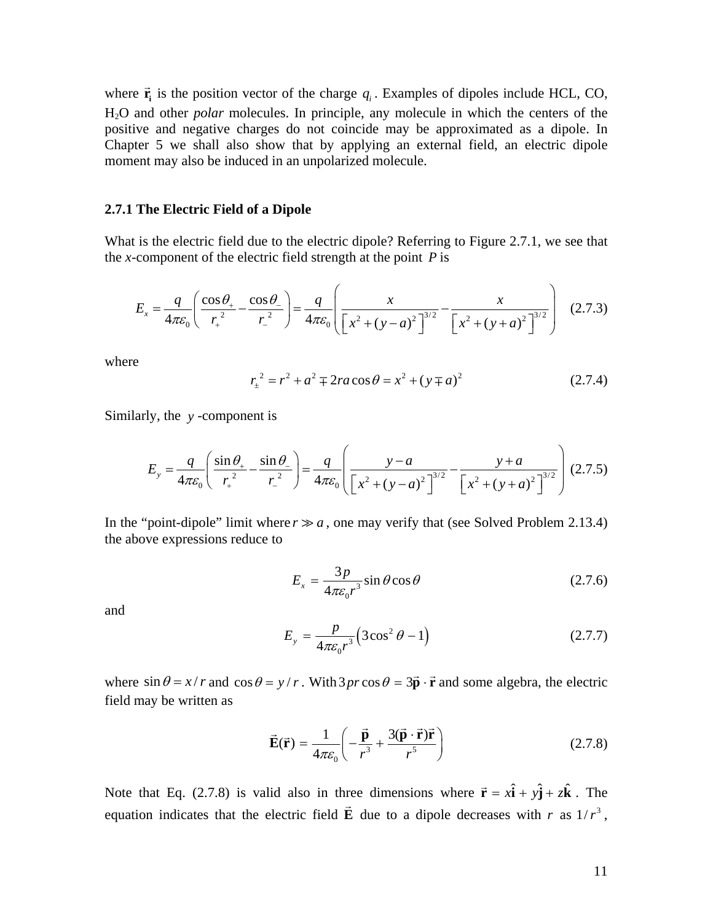<span id="page-11-0"></span>where  $\vec{r}_i$  is the position vector of the charge  $q_i$ . Examples of dipoles include HCL, CO, H 2O and other *polar* molecules. In principle, any molecule in which the centers of the positive and negative charges do not coincide may be approximated as a dipole. In Chapter 5 we shall also show that by applying an external field, an electric dipole moment may also be induced in an unpolarized molecule.

#### **2.7.1 The Electric Field of a Dipole**

What is the electric field due to the electric dipole? Referring to Figure 2.7.1, we see that the *x*-component of the electric field strength at the point  $P$  is

$$
E_x = \frac{q}{4\pi\varepsilon_0} \left( \frac{\cos\theta_+}{r_+^2} - \frac{\cos\theta_-}{r_-^2} \right) = \frac{q}{4\pi\varepsilon_0} \left( \frac{x}{\left[ x^2 + (y - a)^2 \right]^{3/2}} - \frac{x}{\left[ x^2 + (y + a)^2 \right]^{3/2}} \right) (2.7.3)
$$

where

$$
r_{\pm}^{2} = r^{2} + a^{2} \mp 2ra\cos\theta = x^{2} + (y \mp a)^{2}
$$
 (2.7.4)

Similarly, the *y* -component is

$$
E_y = \frac{q}{4\pi\varepsilon_0} \left( \frac{\sin \theta_+}{r_+^2} - \frac{\sin \theta_-}{r_-^2} \right) = \frac{q}{4\pi\varepsilon_0} \left( \frac{y - a}{\left[ x^2 + (y - a)^2 \right]^{3/2}} - \frac{y + a}{\left[ x^2 + (y + a)^2 \right]^{3/2}} \right) (2.7.5)
$$

In the "point-dipole" limit where  $r \gg a$ , one may verify that (see Solved Problem 2.13.4) the above expressions reduce to

$$
E_x = \frac{3p}{4\pi\varepsilon_0 r^3} \sin\theta \cos\theta \tag{2.7.6}
$$

and

$$
E_y = \frac{p}{4\pi\varepsilon_0 r^3} \left(3\cos^2\theta - 1\right) \tag{2.7.7}
$$

where  $\sin \theta = x/r$  and  $\cos \theta = y/r$ . With  $3pr \cos \theta = 3\vec{p} \cdot \vec{r}$  and some algebra, the electric field may be written as

$$
\vec{E}(\vec{r}) = \frac{1}{4\pi\varepsilon_0} \left( -\frac{\vec{p}}{r^3} + \frac{3(\vec{p} \cdot \vec{r})\vec{r}}{r^5} \right)
$$
(2.7.8)

Note that Eq. (2.7.8) is valid also in three dimensions where  $\vec{r} = x\hat{i} + y\hat{j} + z\hat{k}$ . The equation indicates that the electric field  $\vec{E}$  due to a dipole decreases with *r* as  $1/r^3$ ,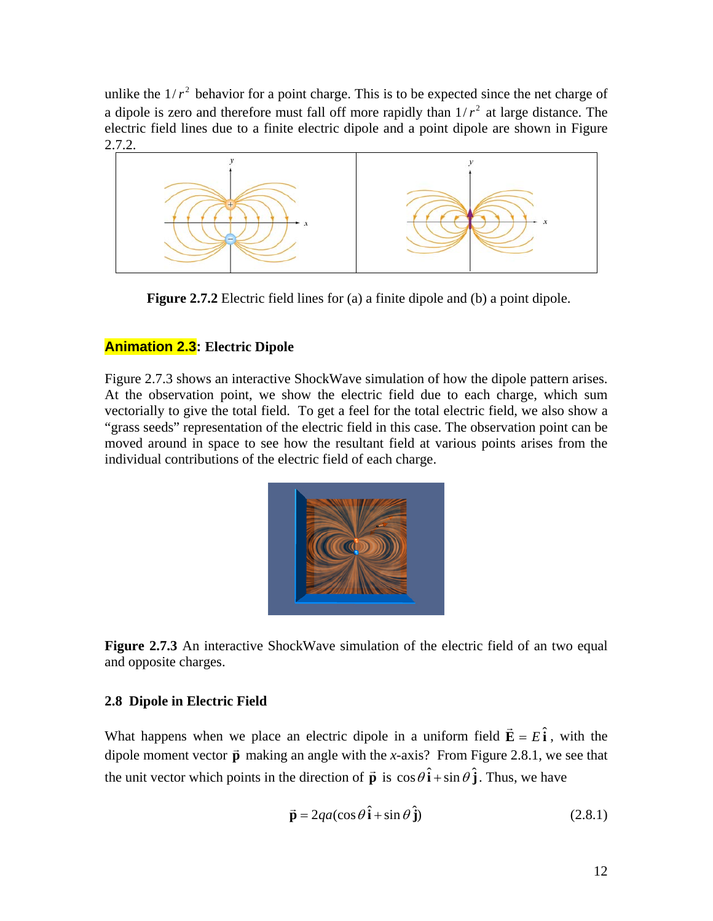<span id="page-12-0"></span>unlike the  $1/r^2$  behavior for a point charge. This is to be expected since the net charge of a dipole is zero and therefore must fall off more rapidly than  $1/r^2$  at large distance. The electric field lines due to a finite electric dipole and a point dipole are shown in Figure 2.7.2.



**Figure 2.7.2** Electric field lines for (a) a finite dipole and (b) a point dipole.

# **Animation 2.3: Electric Dipole**

Figure 2.7.3 shows an interactive ShockWave simulation of how the dipole pattern arises. At the observation point, we show the electric field due to each charge, which sum vectorially to give the total field. To get a feel for the total electric field, we also show a "grass seeds" representation of the electric field in this case. The observation point can be moved around in space to see how the resultant field at various points arises from the individual contributions of the electric field of each charge.



**Figure 2.7.3** An interactive ShockWave simulation of the electric field of an two equal and opposite charges.

# **2.8 Dipole in Electric Field**

What happens when we place an electric dipole in a uniform field  $\vec{E} = E\hat{i}$ , with the dipole moment vector  $\vec{p}$  making an angle with the *x*-axis? From Figure 2.8.1, we see that the unit vector which points in the direction of  $\vec{p}$  is  $\cos\theta \hat{i} + \sin\theta \hat{j}$ . Thus, we have

$$
\vec{\mathbf{p}} = 2qa(\cos\theta \,\hat{\mathbf{i}} + \sin\theta \,\hat{\mathbf{j}}) \tag{2.8.1}
$$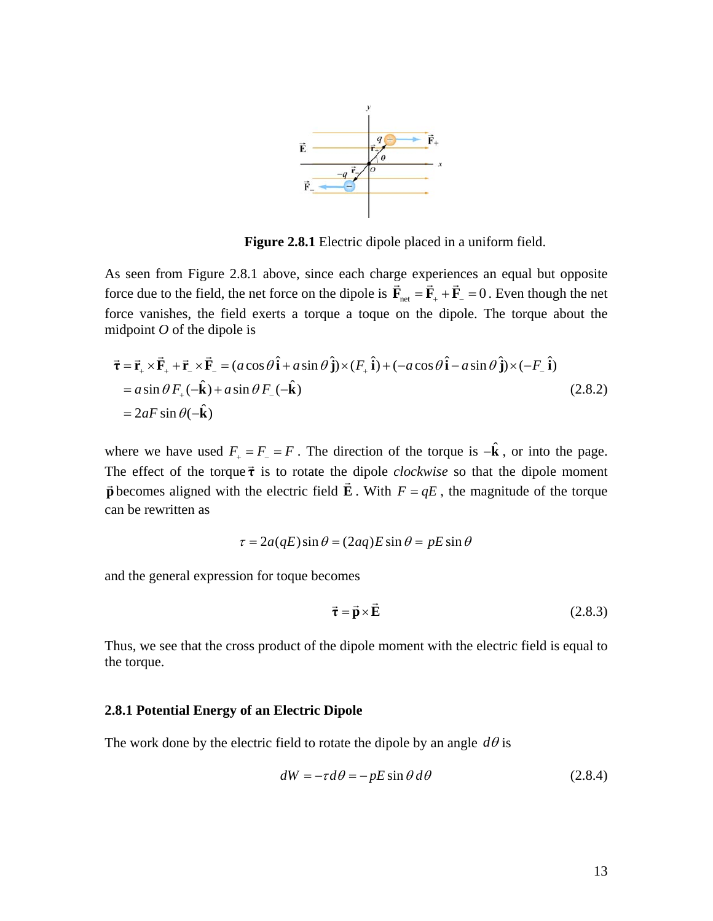

**Figure 2.8.1** Electric dipole placed in a uniform field.

<span id="page-13-0"></span>As seen from Figure 2.8.1 above, since each charge experiences an equal but opposite force due to the field, the net force on the dipole is  $\vec{F}_{net} = \vec{F}_{+} + \vec{F}_{-} = 0$ . Even though the net force vanishes, the field exerts a torque a toque on the dipole. The torque about the midpoint *O* of the dipole is

$$
\vec{\tau} = \vec{r}_+ \times \vec{F}_+ + \vec{r}_- \times \vec{F}_- = (a \cos \theta \hat{i} + a \sin \theta \hat{j}) \times (F_+ \hat{i}) + (-a \cos \theta \hat{i} - a \sin \theta \hat{j}) \times (-F_- \hat{i})
$$
  
=  $a \sin \theta F_+ (-\hat{k}) + a \sin \theta F_- (-\hat{k})$  (2.8.2)  
=  $2aF \sin \theta (-\hat{k})$ 

where we have used  $F_+ = F_- = F$ . The direction of the torque is  $-\hat{\mathbf{k}}$ , or into the page. The effect of the torque  $\vec{\tau}$  is to rotate the dipole *clockwise* so that the dipole moment phenomes aligned with the electric field  $\vec{E}$ . With  $F = qE$ , the magnitude of the torque  $\vec{p}$  becomes aligned with the electric field  $\vec{E}$ . With  $F = qE$ , the magnitude of the torque can be rewritten as

$$
\tau = 2a(qE)\sin\theta = (2aq)E\sin\theta = pE\sin\theta
$$

and the general expression for toque becomes

$$
\vec{\tau} = \vec{p} \times \vec{E}
$$
 (2.8.3)

Thus, we see that the cross product of the dipole moment with the electric field is equal to the torque.

# **2.8.1 Potential Energy of an Electric Dipole**

The work done by the electric field to rotate the dipole by an angle  $d\theta$  is

$$
dW = -\tau d\theta = -pE\sin\theta \,d\theta \tag{2.8.4}
$$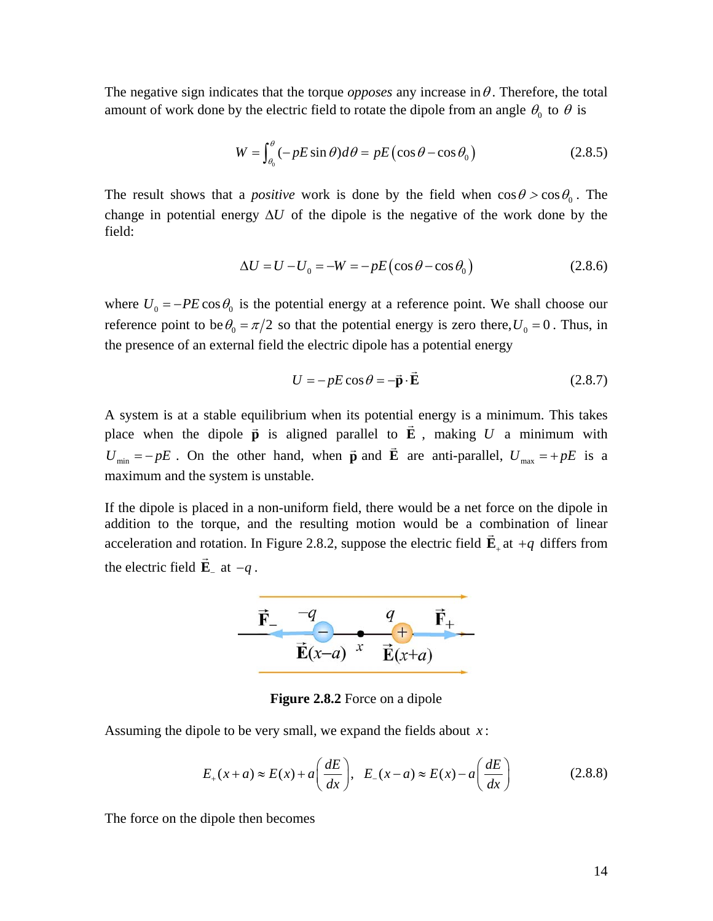The negative sign indicates that the torque *opposes* any increase in  $\theta$ . Therefore, the total amount of work done by the electric field to rotate the dipole from an angle  $\theta_0$  to  $\theta$  is

$$
W = \int_{\theta_0}^{\theta} (-pE\sin\theta)d\theta = pE\left(\cos\theta - \cos\theta_0\right)
$$
 (2.8.5)

The result shows that a *positive* work is done by the field when  $\cos \theta > \cos \theta_0$ . The change in potential energy  $\Delta U$  of the dipole is the negative of the work done by the field:

$$
\Delta U = U - U_0 = -W = -pE(\cos\theta - \cos\theta_0) \tag{2.8.6}
$$

where  $U_0 = -PE \cos \theta_0$  is the potential energy at a reference point. We shall choose our reference point to be  $\theta_0 = \pi/2$  so that the potential energy is zero there,  $U_0 = 0$ . Thus, in the presence of an external field the electric dipole has a potential energy

$$
U = -pE\cos\theta = -\vec{\mathbf{p}}\cdot\vec{\mathbf{E}} \qquad (2.8.7)
$$

A system is at a stable equilibrium when its potential energy is a minimum. This takes place when the dipole  $\vec{p}$  is aligned parallel to  $\vec{E}$ , making *U* a minimum with *U*<sub>min</sub> = − *pE*. On the other hand, when **p** and **E** are anti-parallel,  $U_{\text{max}} = + pE$  is a maximum and the system is unstable.

If the dipole is placed in a non-uniform field, there would be a net force on the dipole in addition to the torque, and the resulting motion would be a combination of linear acceleration and rotation. In Figure 2.8.2, suppose the electric field  $\vec{E}_+$  at  $+q$  differs from the electric field  $\vec{E}_{-}$  at  $-q$ .



**Figure 2.8.2** Force on a dipole

Assuming the dipole to be very small, we expand the fields about *x* :

$$
E_{+}(x+a) \approx E(x) + a\left(\frac{dE}{dx}\right), \quad E_{-}(x-a) \approx E(x) - a\left(\frac{dE}{dx}\right) \tag{2.8.8}
$$

The force on the dipole then becomes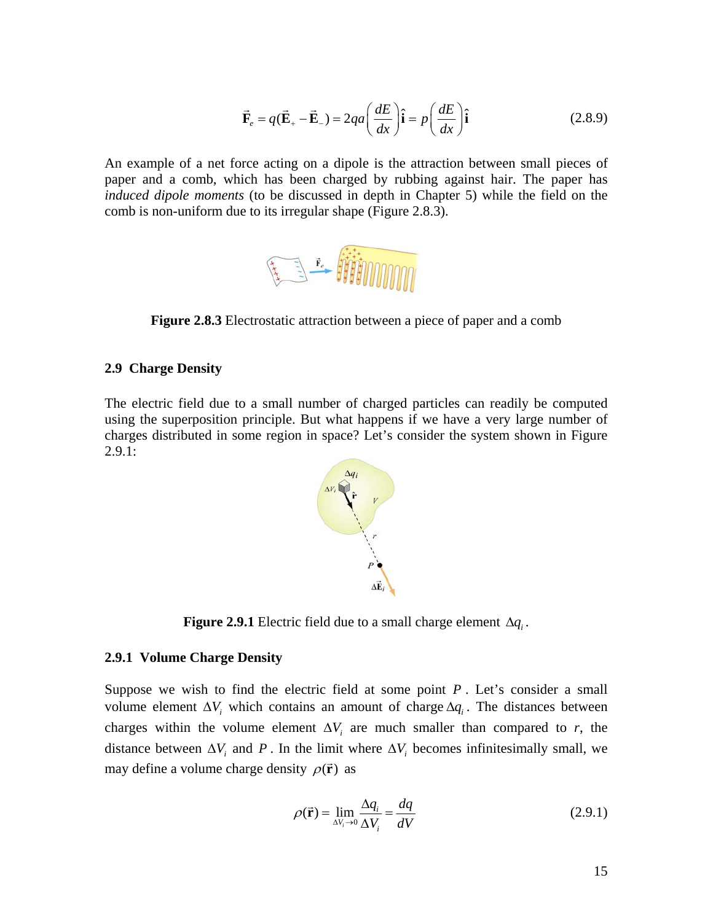$$
\vec{\mathbf{F}}_e = q(\vec{\mathbf{E}}_+ - \vec{\mathbf{E}}_-) = 2qa \left(\frac{dE}{dx}\right)\hat{\mathbf{i}} = p\left(\frac{dE}{dx}\right)\hat{\mathbf{i}} \tag{2.8.9}
$$

<span id="page-15-0"></span>An example of a net force acting on a dipole is the attraction between small pieces of paper and a comb, which has been charged by rubbing against hair. The paper has *induced dipole moments* (to be discussed in depth in Chapter 5) while the field on the comb is non-uniform due to its irregular shape (Figure 2.8.3).



**Figure 2.8.3** Electrostatic attraction between a piece of paper and a comb

#### **2.9 Charge Density**

The electric field due to a small number of charged particles can readily be computed using the superposition principle. But what happens if we have a very large number of charges distributed in some region in space? Let's consider the system shown in Figure  $2.9.1:$ 



**Figure 2.9.1** Electric field due to a small charge element  $\Delta q_i$ .

#### **2.9.1 Volume Charge Density**

Suppose we wish to find the electric field at some point  $P$ . Let's consider a small volume element  $\Delta V_i$ , which contains an amount of charge  $\Delta q_i$ . The distances between charges within the volume element  $\Delta V_i$  are much smaller than compared to *r*, the distance between  $\Delta V_i$  and P. In the limit where  $\Delta V_i$  becomes infinitesimally small, we may define a volume charge density  $\rho(\vec{r})$  as

$$
\rho(\vec{\mathbf{r}}) = \lim_{\Delta V_i \to 0} \frac{\Delta q_i}{\Delta V_i} = \frac{dq}{dV}
$$
\n(2.9.1)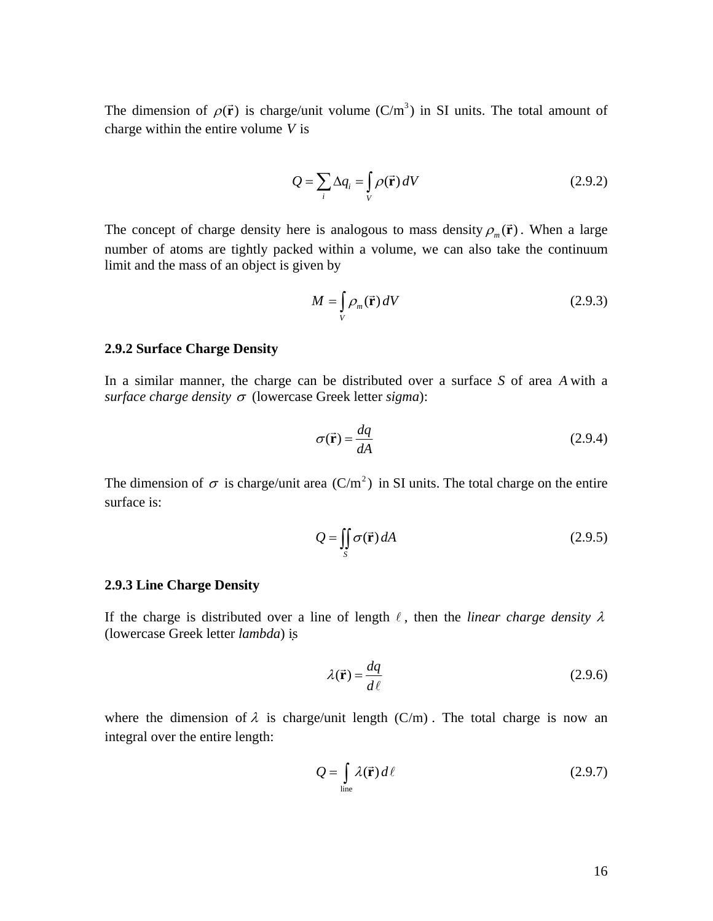<span id="page-16-0"></span>The dimension of  $\rho(\vec{r})$  is charge/unit volume (C/m<sup>3</sup>) in SI units. The total amount of charge within the entire volume *V* is

$$
Q = \sum_{i} \Delta q_i = \int_{V} \rho(\vec{r}) dV
$$
 (2.9.2)

The concept of charge density here is analogous to mass density  $\rho_m(\vec{r})$ . When a large number of atoms are tightly packed within a volume, we can also take the continuum limit and the mass of an object is given by

$$
M = \int_{V} \rho_m(\vec{\mathbf{r}}) dV
$$
 (2.9.3)

# **2.9.2 Surface Charge Density**

In a similar manner, the charge can be distributed over a surface *S* of area *A* with a *surface charge density* <sup>σ</sup> (lowercase Greek letter *sigma*):

$$
\sigma(\vec{\mathbf{r}}) = \frac{dq}{dA} \tag{2.9.4}
$$

The dimension of  $\sigma$  is charge/unit area (C/m<sup>2</sup>) in SI units. The total charge on the entire surface is:

$$
Q = \iint_{S} \sigma(\vec{r}) dA
$$
 (2.9.5)

# **2.9.3 Line Charge Density**

If the charge is distributed over a line of length  $\ell$ , then the *linear charge density*  $\lambda$ (lowercase Greek letter *lambda*) is

$$
\lambda(\vec{\mathbf{r}}) = \frac{dq}{d\ell} \tag{2.9.6}
$$

where the dimension of  $\lambda$  is charge/unit length (C/m). The total charge is now an integral over the entire length:

$$
Q = \int_{\text{line}} \lambda(\vec{r}) d\ell
$$
 (2.9.7)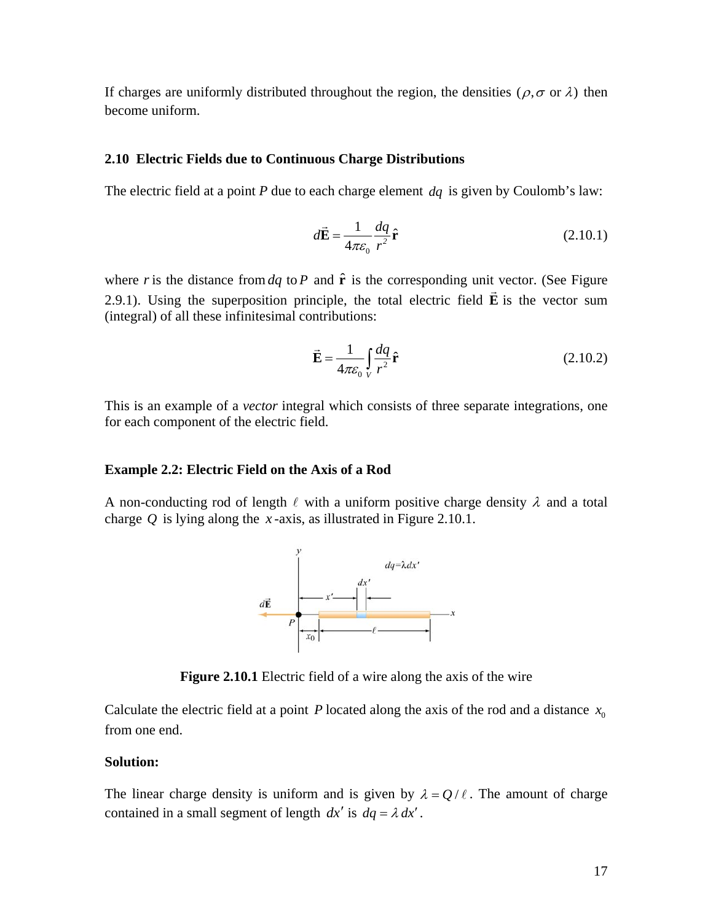<span id="page-17-0"></span>If charges are uniformly distributed throughout the region, the densities ( $\rho$ , $\sigma$  or  $\lambda$ ) then become uniform.

# **2.10 Electric Fields due to Continuous Charge Distributions**

The electric field at a point *P* due to each charge element *dq* is given by Coulomb's law:

$$
d\vec{\mathbf{E}} = \frac{1}{4\pi\varepsilon_0} \frac{dq}{r^2} \hat{\mathbf{r}}
$$
 (2.10.1)

where *r* is the distance from  $dq$  to *P* and  $\hat{\mathbf{r}}$  is the corresponding unit vector. (See Figure 2.9.1). Using the superposition principle, the total electric field  $\vec{E}$  is the vector sum (integral) of all these infinitesimal contributions:

$$
\vec{\mathbf{E}} = \frac{1}{4\pi\varepsilon_0} \int_{V} \frac{dq}{r^2} \hat{\mathbf{r}}
$$
 (2.10.2)

This is an example of a *vector* integral which consists of three separate integrations, one for each component of the electric field.

#### **Example 2.2: Electric Field on the Axis of a Rod**

A non-conducting rod of length  $\ell$  with a uniform positive charge density  $\lambda$  and a total charge  $Q$  is lying along the *x*-axis, as illustrated in Figure 2.10.1.



**Figure 2.10.1** Electric field of a wire along the axis of the wire

Calculate the electric field at a point *P* located along the axis of the rod and a distance  $x_0$ from one end.

# **Solution:**

The linear charge density is uniform and is given by  $\lambda = Q/\ell$ . The amount of charge contained in a small segment of length  $dx'$  is  $dq = \lambda dx'$ .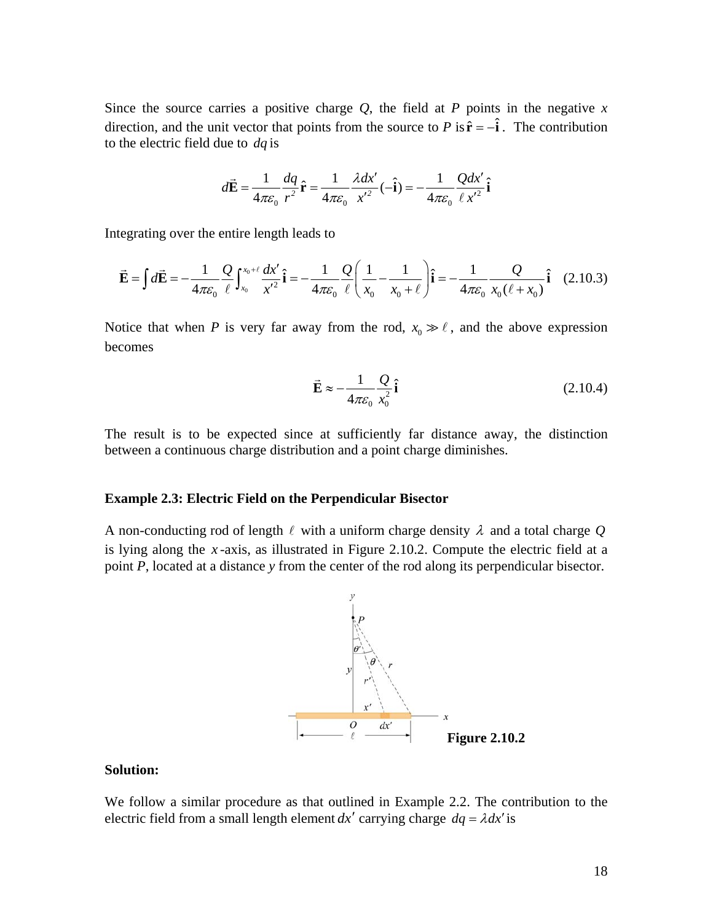<span id="page-18-0"></span>Since the source carries a positive charge  $Q$ , the field at  $P$  points in the negative  $x$ direction, and the unit vector that points from the source to *P* is  $\hat{\mathbf{r}} = -\hat{\mathbf{i}}$ . The contribution to the electric field due to *dq* is

$$
d\vec{\mathbf{E}} = \frac{1}{4\pi\varepsilon_0} \frac{dq}{r^2} \hat{\mathbf{r}} = \frac{1}{4\pi\varepsilon_0} \frac{\lambda dx'}{x'^2} (-\hat{\mathbf{i}}) = -\frac{1}{4\pi\varepsilon_0} \frac{Qdx'}{\ell x'^2} \hat{\mathbf{i}}
$$

Integrating over the entire length leads to

$$
\vec{\mathbf{E}} = \int d\vec{\mathbf{E}} = -\frac{1}{4\pi\varepsilon_0} \frac{Q}{\ell} \int_{x_0}^{x_0 + \ell} \frac{dx'}{x'^2} \hat{\mathbf{i}} = -\frac{1}{4\pi\varepsilon_0} \frac{Q}{\ell} \left( \frac{1}{x_0} - \frac{1}{x_0 + \ell} \right) \hat{\mathbf{i}} = -\frac{1}{4\pi\varepsilon_0} \frac{Q}{x_0(\ell + x_0)} \hat{\mathbf{i}} \quad (2.10.3)
$$

Notice that when *P* is very far away from the rod,  $x_0 \gg \ell$ , and the above expression becomes

$$
\vec{\mathbf{E}} \approx -\frac{1}{4\pi\varepsilon_0} \frac{Q}{x_0^2} \hat{\mathbf{i}} \tag{2.10.4}
$$

The result is to be expected since at sufficiently far distance away, the distinction between a continuous charge distribution and a point charge diminishes.

# **Example 2.3: Electric Field on the Perpendicular Bisector**

A non-conducting rod of length  $\ell$  with a uniform charge density  $\lambda$  and a total charge Q is lying along the *x* -axis, as illustrated in Figure 2.10.2. Compute the electric field at a point *P*, located at a distance *y* from the center of the rod along its perpendicular bisector.



# **Solution:**

We follow a similar procedure as that outlined in Example 2.2. The contribution to the electric field from a small length element  $dx'$  carrying charge  $dq = \lambda dx'$  is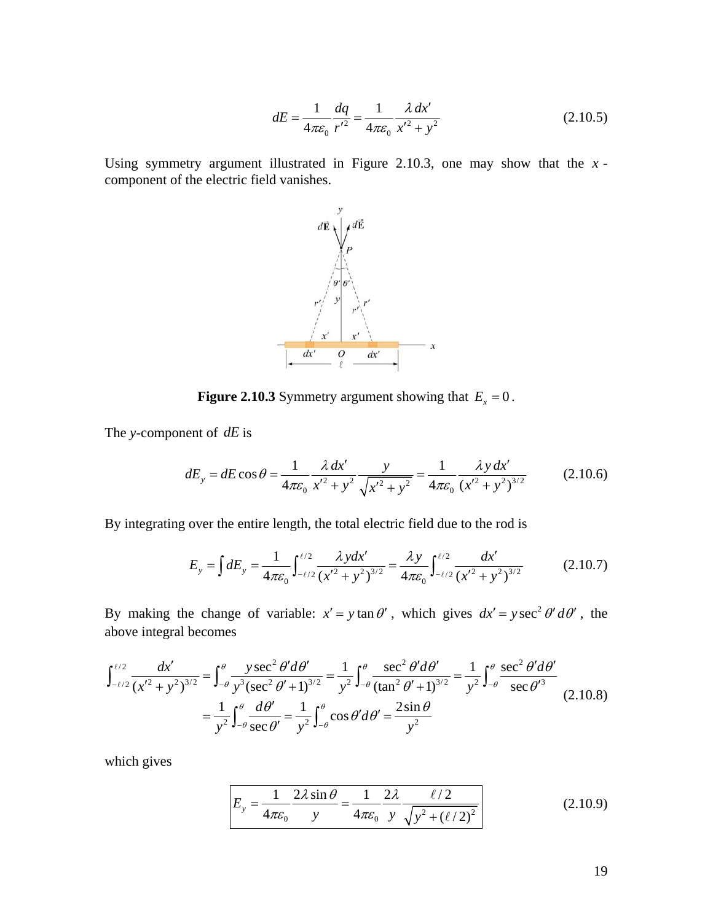$$
dE = \frac{1}{4\pi\varepsilon_0} \frac{dq}{r'^2} = \frac{1}{4\pi\varepsilon_0} \frac{\lambda \, dx'}{x'^2 + y^2}
$$
(2.10.5)

Using symmetry argument illustrated in Figure 2.10.3, one may show that the *x* component of the electric field vanishes.



**Figure 2.10.3** Symmetry argument showing that  $E_x = 0$ .

The *y*-component of *dE* is

$$
dE_y = dE \cos \theta = \frac{1}{4\pi \varepsilon_0} \frac{\lambda \, dx'}{x'^2 + y^2} \frac{y}{\sqrt{x'^2 + y^2}} = \frac{1}{4\pi \varepsilon_0} \frac{\lambda y \, dx'}{(x'^2 + y^2)^{3/2}} \tag{2.10.6}
$$

By integrating over the entire length, the total electric field due to the rod is

$$
E_y = \int dE_y = \frac{1}{4\pi\epsilon_0} \int_{-\ell/2}^{\ell/2} \frac{\lambda y dx'}{(x'^2 + y^2)^{3/2}} = \frac{\lambda y}{4\pi\epsilon_0} \int_{-\ell/2}^{\ell/2} \frac{dx'}{(x'^2 + y^2)^{3/2}} \tag{2.10.7}
$$

By making the change of variable:  $x' = y \tan \theta'$ , which gives  $dx' = y \sec^2 \theta' d\theta'$ , the above integral becomes

$$
\int_{-\ell/2}^{\ell/2} \frac{dx'}{(x'^2 + y^2)^{3/2}} = \int_{-\theta}^{\theta} \frac{y \sec^2 \theta' d\theta'}{y^3 (\sec^2 \theta' + 1)^{3/2}} = \frac{1}{y^2} \int_{-\theta}^{\theta} \frac{\sec^2 \theta' d\theta'}{(\tan^2 \theta' + 1)^{3/2}} = \frac{1}{y^2} \int_{-\theta}^{\theta} \frac{\sec^2 \theta' d\theta'}{\sec \theta'^3}
$$

$$
= \frac{1}{y^2} \int_{-\theta}^{\theta} \frac{d\theta'}{\sec \theta'} = \frac{1}{y^2} \int_{-\theta}^{\theta} \cos \theta' d\theta' = \frac{2 \sin \theta}{y^2}
$$
(2.10.8)

which gives

$$
E_y = \frac{1}{4\pi\varepsilon_0} \frac{2\lambda \sin \theta}{y} = \frac{1}{4\pi\varepsilon_0} \frac{2\lambda}{y} \frac{\ell/2}{\sqrt{y^2 + (\ell/2)^2}}
$$
(2.10.9)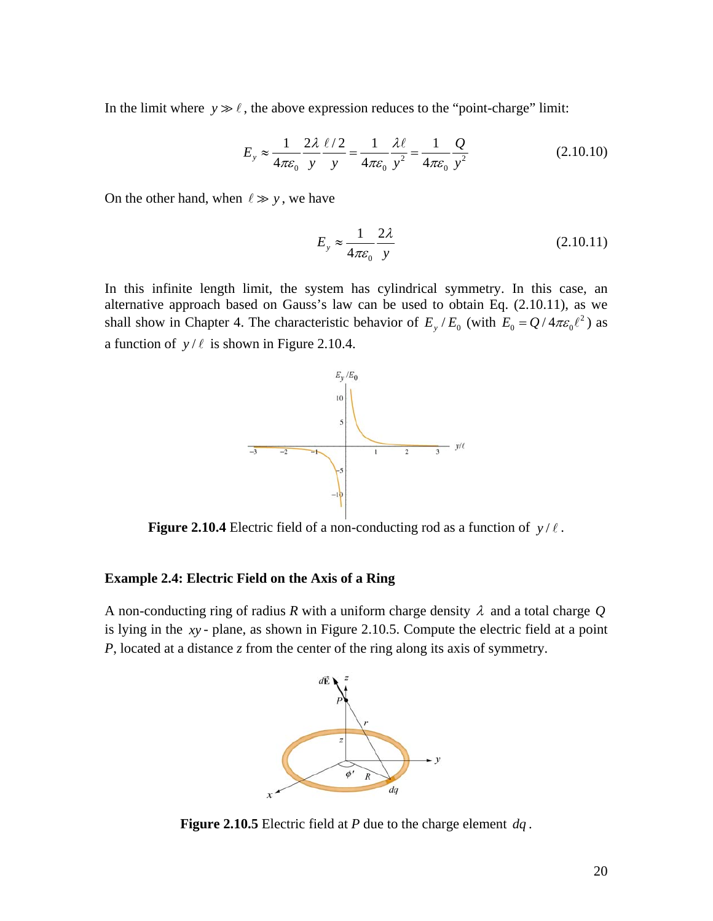<span id="page-20-0"></span>In the limit where  $y \gg \ell$ , the above expression reduces to the "point-charge" limit:

$$
E_y \approx \frac{1}{4\pi\varepsilon_0} \frac{2\lambda}{y} \frac{\ell/2}{y} = \frac{1}{4\pi\varepsilon_0} \frac{\lambda\ell}{y^2} = \frac{1}{4\pi\varepsilon_0} \frac{Q}{y^2}
$$
(2.10.10)

On the other hand, when  $\ell \gg y$ , we have

$$
E_y \approx \frac{1}{4\pi\varepsilon_0} \frac{2\lambda}{y}
$$
 (2.10.11)

In this infinite length limit, the system has cylindrical symmetry. In this case, an alternative approach based on Gauss's law can be used to obtain Eq. (2.10.11), as we shall show in Chapter 4. The characteristic behavior of  $E_y / E_0$  (with  $E_0 = Q / 4\pi \varepsilon_0 \ell^2$ ) as a function of  $y/\ell$  is shown in Figure 2.10.4.



**Figure 2.10.4** Electric field of a non-conducting rod as a function of  $y/\ell$ .

# **Example 2.4: Electric Field on the Axis of a Ring**

A non-conducting ring of radius *R* with a uniform charge density λ and a total charge *Q* is lying in the *xy* - plane, as shown in Figure 2.10.5. Compute the electric field at a point *P*, located at a distance *z* from the center of the ring along its axis of symmetry.



**Figure 2.10.5** Electric field at *P* due to the charge element *dq* .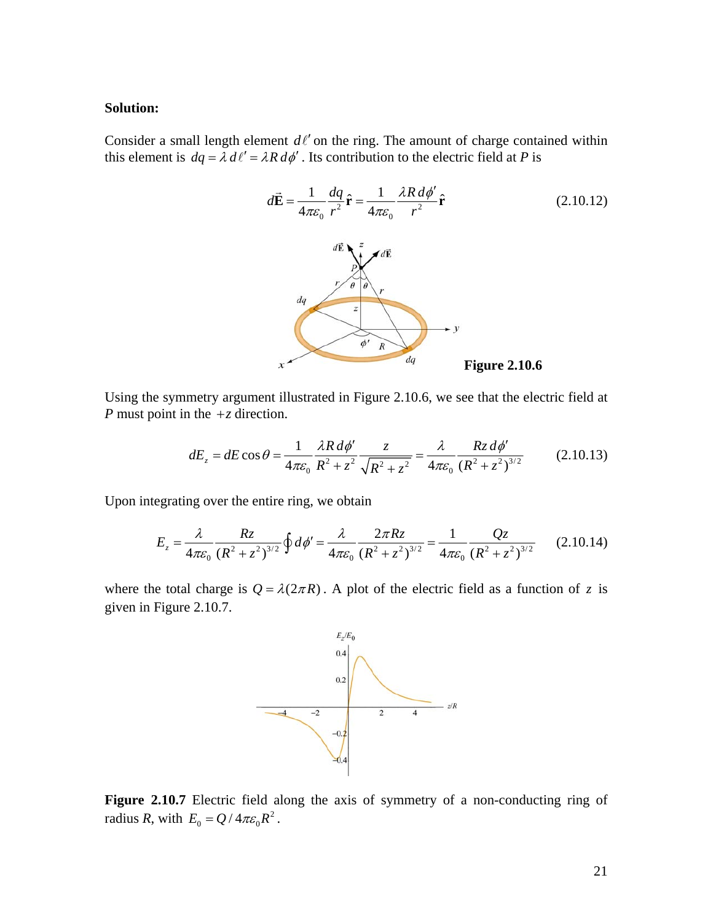#### **Solution:**

Consider a small length element  $d\ell'$  on the ring. The amount of charge contained within this element is  $dq = \lambda d\ell' = \lambda R d\phi'$ . Its contribution to the electric field at *P* is



Using the symmetry argument illustrated in Figure 2.10.6, we see that the electric field at *P* must point in the +*z* direction.

$$
dE_z = dE \cos \theta = \frac{1}{4\pi \varepsilon_0} \frac{\lambda R \, d\phi'}{R^2 + z^2} \frac{z}{\sqrt{R^2 + z^2}} = \frac{\lambda}{4\pi \varepsilon_0} \frac{Rz \, d\phi'}{(R^2 + z^2)^{3/2}} \tag{2.10.13}
$$

Upon integrating over the entire ring, we obtain

$$
E_z = \frac{\lambda}{4\pi\epsilon_0} \frac{Rz}{(R^2 + z^2)^{3/2}} \oint d\phi' = \frac{\lambda}{4\pi\epsilon_0} \frac{2\pi Rz}{(R^2 + z^2)^{3/2}} = \frac{1}{4\pi\epsilon_0} \frac{Qz}{(R^2 + z^2)^{3/2}} \tag{2.10.14}
$$

where the total charge is  $Q = \lambda(2\pi R)$ . A plot of the electric field as a function of *z* is given in Figure 2.10.7.



**Figure 2.10.7** Electric field along the axis of symmetry of a non-conducting ring of radius *R*, with  $E_0 = Q / 4\pi \varepsilon_0 R^2$ .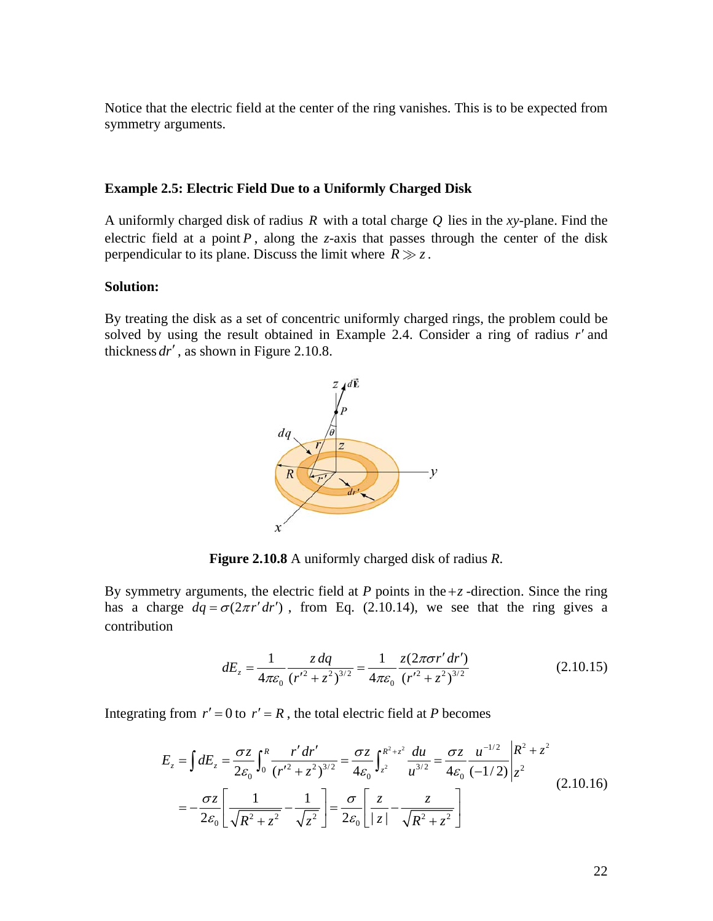<span id="page-22-0"></span>Notice that the electric field at the center of the ring vanishes. This is to be expected from symmetry arguments.

### **Example 2.5: Electric Field Due to a Uniformly Charged Disk**

A uniformly charged disk of radius  $R$  with a total charge  $Q$  lies in the *xy*-plane. Find the electric field at a point  $P$ , along the *z*-axis that passes through the center of the disk perpendicular to its plane. Discuss the limit where  $R \gg z$ .

# **Solution:**

By treating the disk as a set of concentric uniformly charged rings, the problem could be solved by using the result obtained in Example 2.4. Consider a ring of radius *r*′ and thickness *dr*′ , as shown in Figure 2.10.8.



**Figure 2.10.8** A uniformly charged disk of radius *R*.

By symmetry arguments, the electric field at  $P$  points in the  $+z$  -direction. Since the ring has a charge  $dq = \sigma(2\pi r' dr')$ , from Eq. (2.10.14), we see that the ring gives a contribution

$$
dE_z = \frac{1}{4\pi\varepsilon_0} \frac{z \, dq}{\left(r'^2 + z^2\right)^{3/2}} = \frac{1}{4\pi\varepsilon_0} \frac{z(2\pi\sigma r' dr')}{\left(r'^2 + z^2\right)^{3/2}}\tag{2.10.15}
$$

Integrating from  $r' = 0$  to  $r' = R$ , the total electric field at *P* becomes

$$
E_z = \int dE_z = \frac{\sigma z}{2\varepsilon_0} \int_0^R \frac{r' dr'}{(r'^2 + z^2)^{3/2}} = \frac{\sigma z}{4\varepsilon_0} \int_{z^2}^{R^2 + z^2} \frac{du}{u^{3/2}} = \frac{\sigma z}{4\varepsilon_0} \frac{u^{-1/2}}{(-1/2)} \Big|_z^{R^2 + z^2}
$$
  
=  $-\frac{\sigma z}{2\varepsilon_0} \Bigg[ \frac{1}{\sqrt{R^2 + z^2}} - \frac{1}{\sqrt{z^2}} \Bigg] = \frac{\sigma}{2\varepsilon_0} \Bigg[ \frac{z}{|z|} - \frac{z}{\sqrt{R^2 + z^2}} \Bigg]$  (2.10.16)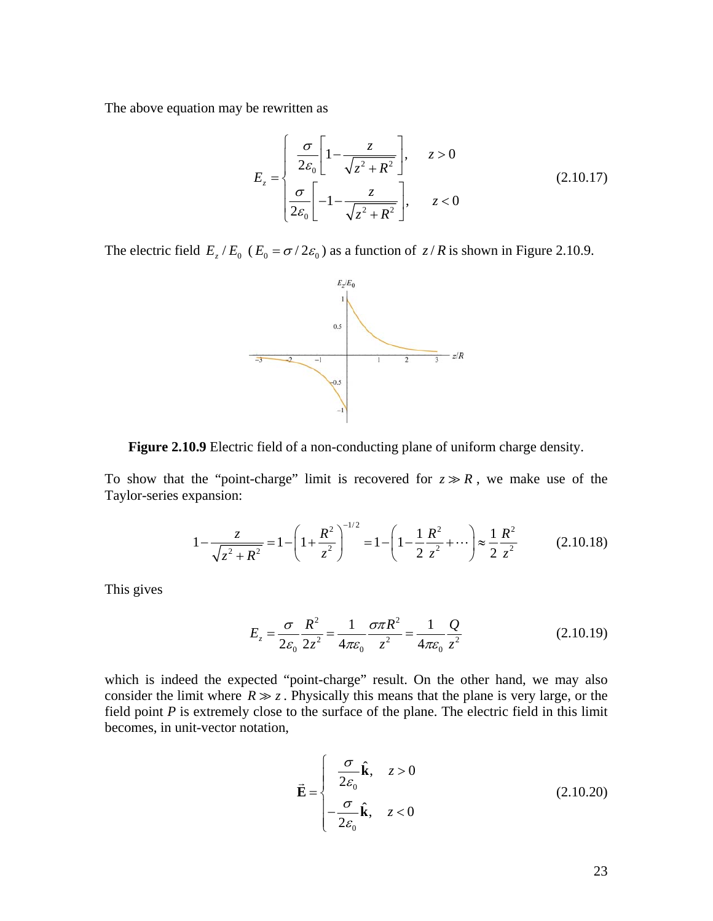The above equation may be rewritten as

$$
E_z = \begin{cases} \frac{\sigma}{2\varepsilon_0} \left[ 1 - \frac{z}{\sqrt{z^2 + R^2}} \right], & z > 0\\ \frac{\sigma}{2\varepsilon_0} \left[ -1 - \frac{z}{\sqrt{z^2 + R^2}} \right], & z < 0 \end{cases} \tag{2.10.17}
$$

The electric field  $E_z / E_0$  ( $E_0 = \sigma / 2 \varepsilon_0$ ) as a function of  $z / R$  is shown in Figure 2.10.9.



**Figure 2.10.9** Electric field of a non-conducting plane of uniform charge density.

To show that the "point-charge" limit is recovered for  $z \gg R$ , we make use of the Taylor-series expansion:

$$
1 - \frac{z}{\sqrt{z^2 + R^2}} = 1 - \left(1 + \frac{R^2}{z^2}\right)^{-1/2} = 1 - \left(1 - \frac{1}{2}\frac{R^2}{z^2} + \cdots\right) \approx \frac{1}{2}\frac{R^2}{z^2}
$$
(2.10.18)

This gives

$$
E_z = \frac{\sigma}{2\varepsilon_0} \frac{R^2}{2z^2} = \frac{1}{4\pi\varepsilon_0} \frac{\sigma \pi R^2}{z^2} = \frac{1}{4\pi\varepsilon_0} \frac{Q}{z^2}
$$
(2.10.19)

which is indeed the expected "point-charge" result. On the other hand, we may also consider the limit where  $R \gg z$ . Physically this means that the plane is very large, or the field point *P* is extremely close to the surface of the plane. The electric field in this limit becomes, in unit-vector notation,

$$
\vec{\mathbf{E}} = \begin{cases}\n\frac{\sigma}{2\varepsilon_0} \hat{\mathbf{k}}, & z > 0 \\
-\frac{\sigma}{2\varepsilon_0} \hat{\mathbf{k}}, & z < 0\n\end{cases}
$$
\n(2.10.20)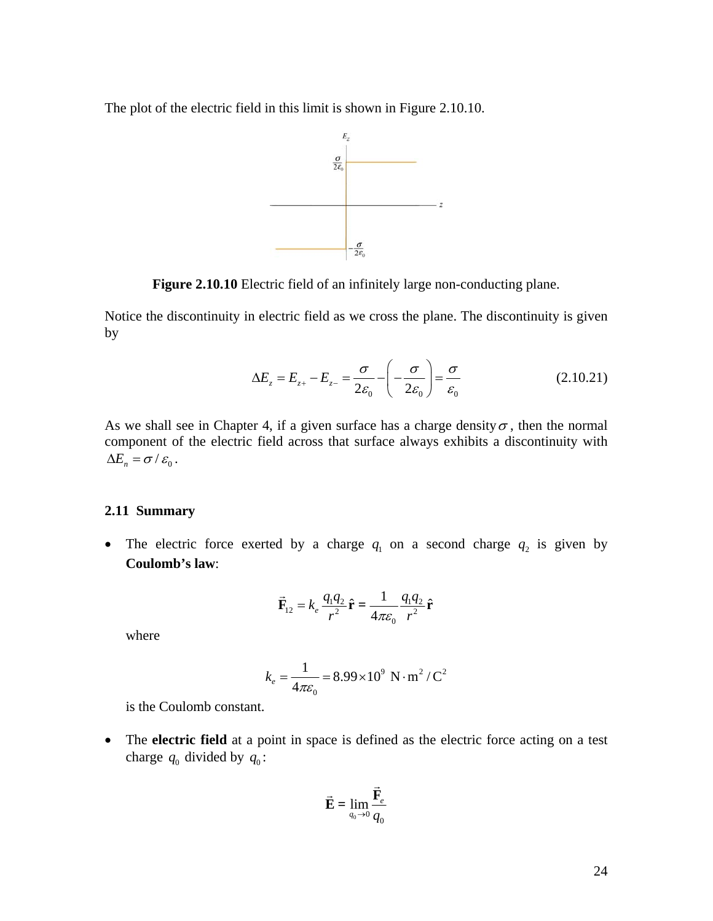<span id="page-24-0"></span>The plot of the electric field in this limit is shown in Figure 2.10.10.



**Figure 2.10.10** Electric field of an infinitely large non-conducting plane.

Notice the discontinuity in electric field as we cross the plane. The discontinuity is given by

$$
\Delta E_z = E_{z+} - E_{z-} = \frac{\sigma}{2\varepsilon_0} - \left(-\frac{\sigma}{2\varepsilon_0}\right) = \frac{\sigma}{\varepsilon_0}
$$
 (2.10.21)

As we shall see in Chapter 4, if a given surface has a charge density  $\sigma$ , then the normal component of the electric field across that surface always exhibits a discontinuity with  $\Delta E_n = \sigma / \varepsilon_0$ .

# **2.11 Summary**

• The electric force exerted by a charge  $q_1$  on a second charge  $q_2$  is given by **Coulomb's law**:

$$
\vec{\mathbf{F}}_{12} = k_e \frac{q_1 q_2}{r^2} \hat{\mathbf{r}} = \frac{1}{4\pi \varepsilon_0} \frac{q_1 q_2}{r^2} \hat{\mathbf{r}}
$$

where

$$
k_e = \frac{1}{4\pi\varepsilon_0} = 8.99 \times 10^9 \text{ N} \cdot \text{m}^2 / \text{C}^2
$$

is the Coulomb constant.

• The **electric field** at a point in space is defined as the electric force acting on a test charge  $q_0$  divided by  $q_0$ :

$$
\vec{\mathbf{E}} = \lim_{q_0 \to 0} \frac{\vec{\mathbf{F}}_e}{q_0}
$$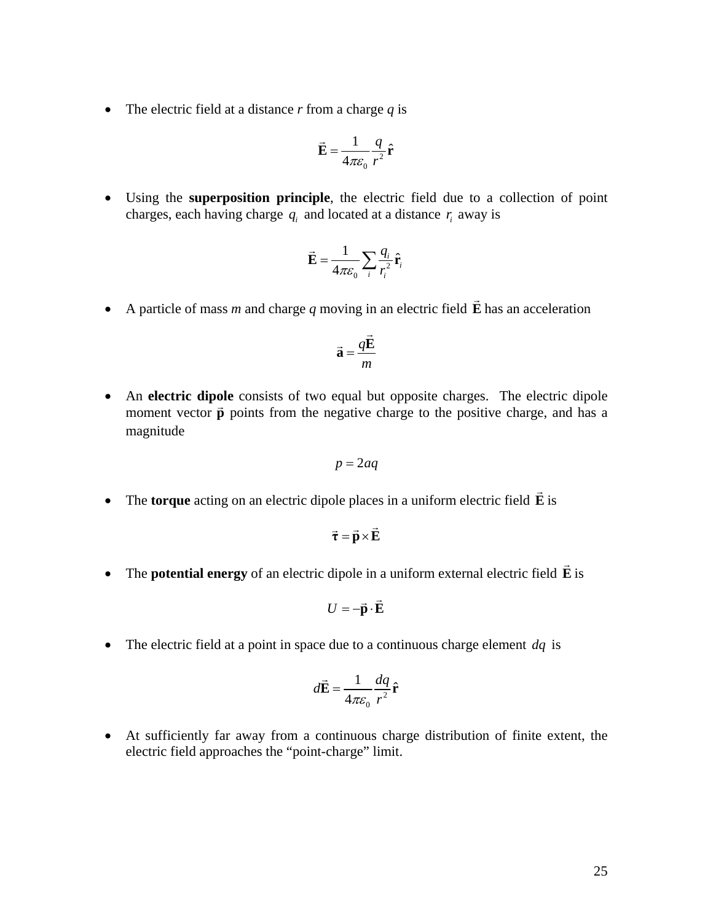• The electric field at a distance  $r$  from a charge  $q$  is

$$
\vec{\mathbf{E}} = \frac{1}{4\pi\varepsilon_0} \frac{q}{r^2} \hat{\mathbf{r}}
$$

• Using the **superposition principle**, the electric field due to a collection of point charges, each having charge  $q_i$  and located at a distance  $r_i$  away is

$$
\vec{\mathbf{E}} = \frac{1}{4\pi\epsilon_0} \sum_i \frac{q_i}{r_i^2} \hat{\mathbf{r}}_i
$$

• A particle of mass *m* and charge *q* moving in an electric field **E**  $\rightarrow$ has an acceleration

$$
\vec{\mathbf{a}} = \frac{q\vec{\mathbf{E}}}{m}
$$

• An **electric dipole** consists of two equal but opposite charges. The electric dipole  $\overline{m}$  **electric upone** consists of two equal out opposite charges. The electric upone moment vector  $\vec{p}$  points from the negative charge to the positive charge, and has a magnitude

$$
p=2aq
$$

• The **torque** acting on an electric dipole places in a uniform electric field **E** is  $\rightarrow$ 

$$
\vec{\tau} = \vec{p} \times \vec{E}
$$

• The **potential energy** of an electric dipole in a uniform external electric field **E** is  $\rightarrow$ 

$$
U = -\vec{\mathbf{p}} \cdot \vec{\mathbf{E}}
$$

• The electric field at a point in space due to a continuous charge element *dq* is

$$
d\vec{\mathbf{E}} = \frac{1}{4\pi\varepsilon_0} \frac{dq}{r^2} \hat{\mathbf{r}}
$$

• At sufficiently far away from a continuous charge distribution of finite extent, the electric field approaches the "point-charge" limit.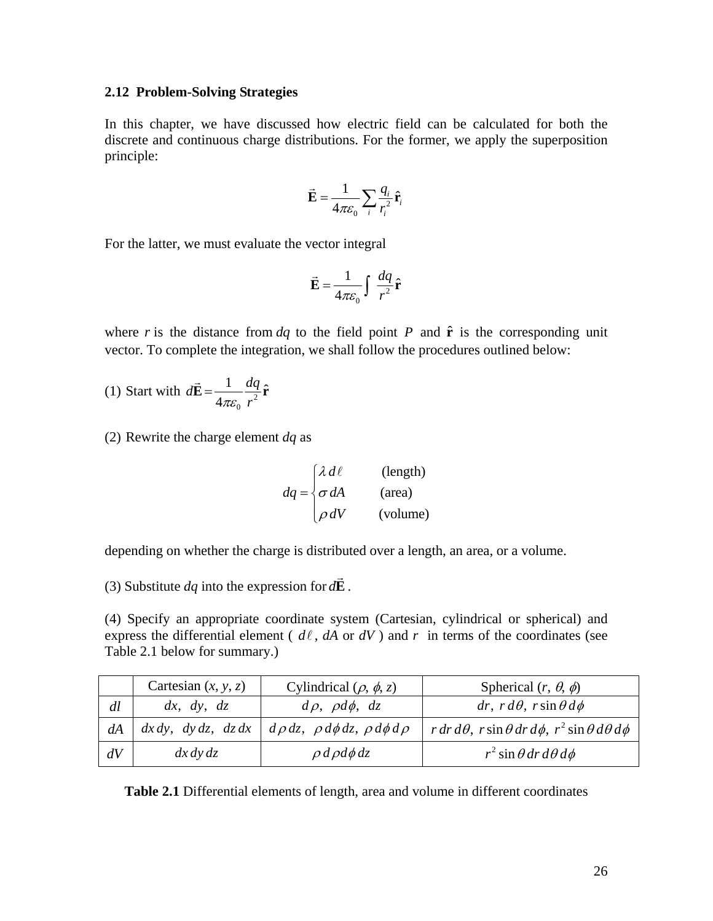# <span id="page-26-0"></span>**2.12 Problem-Solving Strategies**

In this chapter, we have discussed how electric field can be calculated for both the discrete and continuous charge distributions. For the former, we apply the superposition principle:

$$
\vec{\mathbf{E}} = \frac{1}{4\pi\epsilon_0} \sum_i \frac{q_i}{r_i^2} \hat{\mathbf{r}}_i
$$

For the latter, we must evaluate the vector integral

$$
\vec{\mathbf{E}} = \frac{1}{4\pi\varepsilon_0} \int \frac{dq}{r^2} \hat{\mathbf{r}}
$$

where *r* is the distance from  $dq$  to the field point *P* and  $\hat{\bf{r}}$  is the corresponding unit vector. To complete the integration, we shall follow the procedures outlined below:

(1) Start with  $d\mathbf{E} = \frac{1}{4\pi\epsilon_0} \frac{uq}{r^2}$  $d\vec{\mathbf{E}} = \frac{1}{4\pi\varepsilon_0} \frac{dq}{r^2} \hat{\mathbf{r}}$  $\pi \varepsilon_0$  *r*  $E = \frac{1}{r} - \frac{dq}{r} \hat{r}$  $\rightarrow$ 

(2) Rewrite the charge element *dq* as

$$
dq = \begin{cases} \lambda \, d\ell & (\text{length}) \\ \sigma \, dA & (\text{area}) \\ \rho \, dV & (\text{volume}) \end{cases}
$$

depending on whether the charge is distributed over a length, an area, or a volume.

(3) Substitute *dq* into the expression for *d***E**  $\rightarrow$ .

(4) Specify an appropriate coordinate system (Cartesian, cylindrical or spherical) and express the differential element ( $d\ell$ ,  $dA$  or  $dV$ ) and  $r$  in terms of the coordinates (see Table 2.1 below for summary.)

|    | Cartesian $(x, y, z)$ | Cylindrical $(\rho, \phi, z)$                                                   | Spherical $(r, \theta, \phi)$                                               |
|----|-----------------------|---------------------------------------------------------------------------------|-----------------------------------------------------------------------------|
| dl | dx, dy, dz            | $d\rho$ , $\rho d\phi$ , $dz$                                                   | $dr, r d\theta, r \sin \theta d\phi$                                        |
| dA |                       | $dx dy$ , $dy dz$ , $dz dx$   $d\rho dz$ , $\rho d\phi dz$ , $\rho d\phi d\rho$ | $r dr d\theta$ , $r \sin \theta dr d\phi$ , $r^2 \sin \theta d\theta d\phi$ |
| dV | dx dy dz              | $\rho d\rho d\phi dz$                                                           | $r^2$ sin $\theta$ dr d $\theta$ d $\phi$                                   |

**Table 2.1** Differential elements of length, area and volume in different coordinates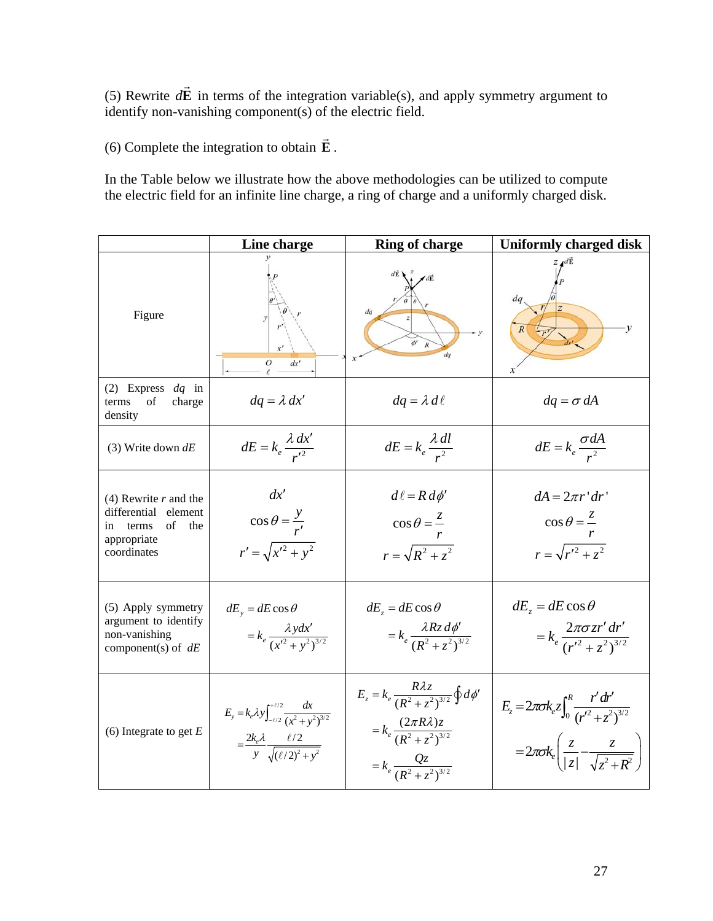(5) Rewrite  $d\vec{E}$  in terms of the integration variable(s), and apply symmetry argument to identify non-vanishing component(s) of the electric field.  $\rightarrow$ 

(6) Complete the integration to obtain **E**  $\rightarrow$ .

In the Table below we illustrate how the above methodologies can be utilized to compute the electric field for an infinite line charge, a ring of charge and a uniformly charged disk.

|                                                                                                        | Line charge                                                                                                                                 | <b>Ring of charge</b>                                                                                                                                       | <b>Uniformly charged disk</b>                                                                                                              |
|--------------------------------------------------------------------------------------------------------|---------------------------------------------------------------------------------------------------------------------------------------------|-------------------------------------------------------------------------------------------------------------------------------------------------------------|--------------------------------------------------------------------------------------------------------------------------------------------|
| Figure                                                                                                 | dx'                                                                                                                                         | dq<br>dq                                                                                                                                                    | dq<br>$\overline{R}$                                                                                                                       |
| (2) Express $dq$ in<br>of<br>charge<br>terms<br>density                                                | $dq = \lambda dx'$                                                                                                                          | $dq = \lambda d\ell$                                                                                                                                        | $dq = \sigma dA$                                                                                                                           |
| (3) Write down $dE$                                                                                    | $dE = k_e \frac{\lambda dx'}{r^2}$                                                                                                          | $dE = k_e \frac{\lambda \, dl}{r^2}$                                                                                                                        | $dE = k_e \frac{\sigma dA}{r^2}$                                                                                                           |
| $(4)$ Rewrite r and the<br>differential element<br>of<br>the<br>in terms<br>appropriate<br>coordinates | dx'<br>$\cos \theta = \frac{y}{r'}$<br>$r' = \sqrt{x'^2 + y^2}$                                                                             | $d\ell = R d\phi'$<br>$\cos \theta = \frac{z}{x}$<br>$r = \sqrt{R^2 + z^2}$                                                                                 | $dA = 2\pi r' dr'$<br>$\cos \theta = \frac{z}{r}$<br>$r = \sqrt{r'^2 + z^2}$                                                               |
| (5) Apply symmetry<br>argument to identify<br>non-vanishing<br>component(s) of $dE$                    | $dE_y = dE \cos \theta$<br>$= k_e \frac{\lambda y dx'}{(x'^2 + y^2)^{3/2}}$                                                                 | $dE_z = dE \cos \theta$<br>$= k_e \frac{\lambda R_z d\phi'}{(R^2 + z^2)^{3/2}}$                                                                             | $dE_z = dE \cos \theta$<br>$= k_e \frac{2\pi \sigma z r' dr'}{(r'^2 + z^2)^{3/2}}$                                                         |
| (6) Integrate to get $E$                                                                               | $E_y = k_e \lambda y \int_{-\ell/2}^{+\ell/2} \frac{dx}{(x^2 + y^2)^{3/2}}$<br>$=\frac{2k_e\lambda}{y}\frac{\ell/2}{\sqrt{(\ell/2)^2+y^2}}$ | $E_z = k_e \frac{R\lambda z}{(R^2 + z^2)^{3/2}} \oint d\phi'$<br>$= k_e \frac{(2\pi R\lambda)z}{(R^2 + z^2)^{3/2}}$<br>$= k_e \frac{Qz}{(R^2 + z^2)^{3/2}}$ | $E_z = 2\pi \sigma k_e z \int_0^R \frac{r dr}{(r'^2 + r^2)^{3/2}}$<br>$=2\pi\sigma k_e\left(\frac{z}{ z }-\frac{z}{\sqrt{z^2+R^2}}\right)$ |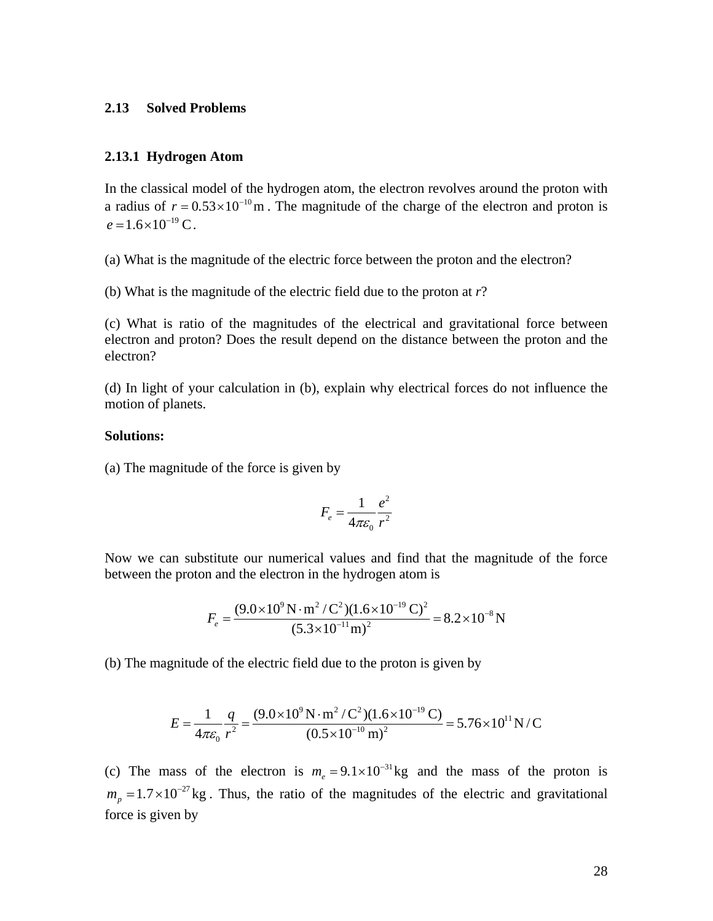# <span id="page-28-0"></span>**2.13 Solved Problems**

# **2.13.1 Hyd rogen Atom**

In the classical model of the hydrogen atom, the electron revolves around the proton with a radius of  $r = 0.53 \times 10^{-10}$  m. The magnitude of the charge of the electron and proton is  $e = 1.6 \times 10^{-19} \text{ C}.$ 

) What is the magnitude of the electric force between the proton and the electron? (a

(b) What is the magnitude of the electric field due to the proton at *r*?

) What is ratio of the magnitudes of the electrical and gravitational force between (c electron and proton? Does the result depend on the distance between the proton and the electron?

(d) In light of your calculation in (b), explain why electrical forces do not influence the motion of planets.

# Solutions:

) The magnitude of the force is given by (a

$$
F_e = \frac{1}{4\pi\varepsilon_0} \frac{e^2}{r^2}
$$

Now we can substitute our numerical values and find that the magnitude of the force between the proton and the electron in the hydrogen atom is

$$
F_e = \frac{(9.0 \times 10^9 \,\mathrm{N \cdot m^2/C^2})(1.6 \times 10^{-19} \,\mathrm{C})^2}{(5.3 \times 10^{-11} \,\mathrm{m})^2} = 8.2 \times 10^{-8} \,\mathrm{N}
$$

(b) The magnitude of the electric field due to the proton is given by

$$
E = \frac{1}{4\pi\varepsilon_0} \frac{q}{r^2} = \frac{(9.0 \times 10^9 \,\mathrm{N \cdot m^2/C^2})(1.6 \times 10^{-19} \,\mathrm{C})}{(0.5 \times 10^{-10} \,\mathrm{m})^2} = 5.76 \times 10^{11} \,\mathrm{N/C}
$$

(c) The mass of the electron is  $m_e = 9.1 \times 10^{-31}$  kg and the mass of the proton is  $m_p = 1.7 \times 10^{-27}$  kg. Thus, the ratio of the magnitudes of the electric and gravitational force is given by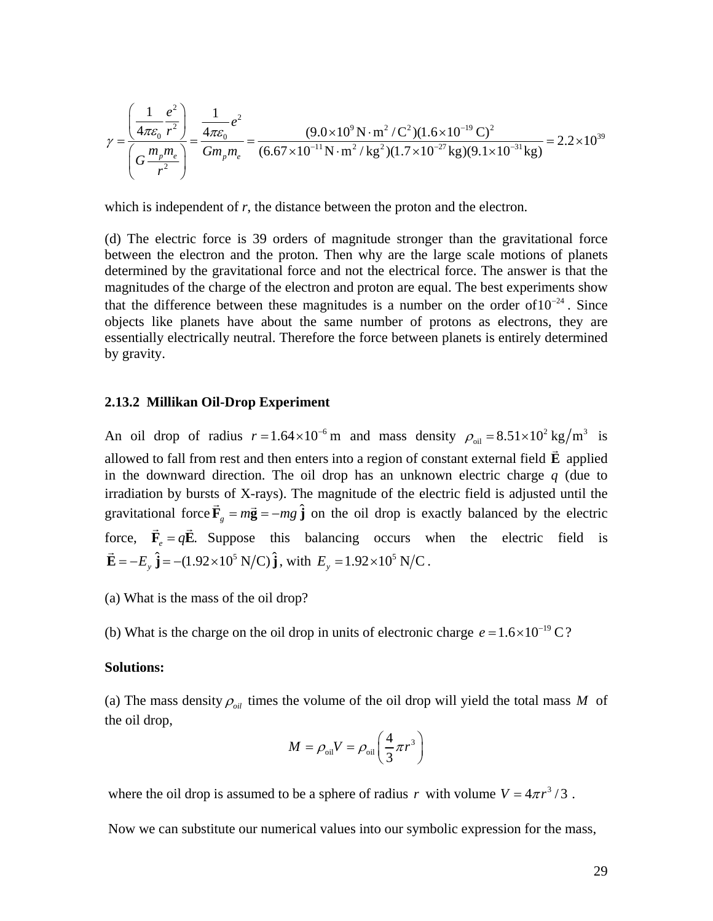<span id="page-29-0"></span>
$$
\gamma = \frac{\left(\frac{1}{4\pi\epsilon_0} \frac{e^2}{r^2}\right)}{\left(G\frac{m_p m_e}{r^2}\right)} = \frac{\frac{1}{4\pi\epsilon_0} e^2}{Gm_p m_e} = \frac{(9.0 \times 10^9 \,\mathrm{N \cdot m^2/C^2})(1.6 \times 10^{-19} \,\mathrm{C})^2}{(6.67 \times 10^{-11} \,\mathrm{N \cdot m^2/kg^2})(1.7 \times 10^{-27} \,\mathrm{kg})(9.1 \times 10^{-31} \,\mathrm{kg})} = 2.2 \times 10^{39}
$$

which is independent of  $r$ , the distance between the proton and the electron.

magnitudes of the charge of the electron and proton are equal. The best experiments show essentially electrically neutral. Therefore the force between planets is entirely determined by gravity. (d) The electric force is 39 orders of magnitude stronger than the gravitational force between the electron and the proton. Then why are the large scale motions of planets determined by the gravitational force and not the electrical force. The answer is that the that the difference between these magnitudes is a number on the order of  $10^{-24}$ . Since objects like planets have about the same number of protons as electrons, they are

#### **.13.2 Millikan Oil-Drop Experiment 2**

An oil drop of radius  $r = 1.64 \times 10^{-6}$  m and mass density  $\rho_{\text{oil}} = 8.51 \times 10^{2}$  kg/m<sup>3</sup> is allowed to fall from rest and then enters into a region of constant external field **E** applied in the downward direction. The oil drop has an unknown electric charge *q* (due to irradiation by bursts of X-rays). The magnitude of the electric field is adjusted until the gravitational force  $\vec{F}_g = m\vec{g} = -mg\hat{j}$  on the oil drop is exactly balanced by the electric G force,  $\vec{F}_e = q\vec{E}$ . Suppose this balancing occurs when the electric field is  $\vec{E} = -E_y \hat{j} = -(1.92 \times 10^5 \text{ N/C}) \hat{j}$ , with  $E_y = 1.92 \times 10^5 \text{ N/C}$ .

) What is the mass of the oil drop? (a

(b) What is the charge on the oil drop in units of electronic charge  $e = 1.6 \times 10^{-19} \text{ C}$ ?

### Solutions:

(a) The mass density  $\rho_{\text{oil}}$  times the volume of the oil drop will yield the total mass *M* of the oil drop,

$$
M = \rho_{\text{oil}} V = \rho_{\text{oil}} \left( \frac{4}{3} \pi r^3 \right)
$$

where the oil drop is assumed to be a sphere of radius r with volume  $V = 4\pi r^3/3$ .

Now we can substitute our numerical values into our symbolic expression for the mass,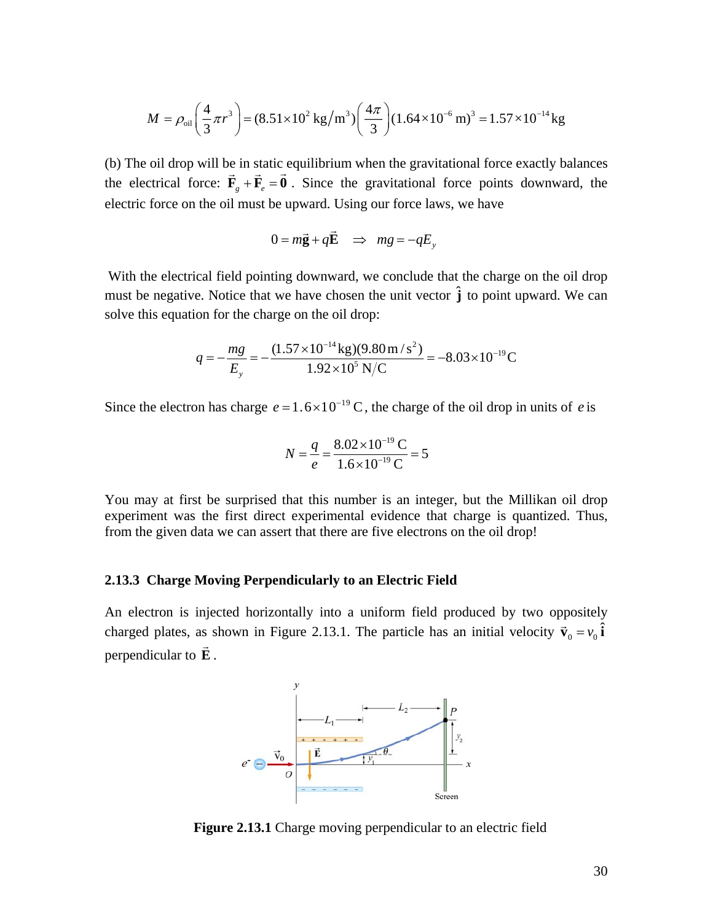<span id="page-30-0"></span>
$$
M = \rho_{\text{oil}} \left( \frac{4}{3} \pi r^3 \right) = (8.51 \times 10^2 \text{ kg/m}^3) \left( \frac{4 \pi}{3} \right) (1.64 \times 10^{-6} \text{ m})^3 = 1.57 \times 10^{-14} \text{ kg}
$$

the electrical force:  $\vec{F}_g + \vec{F}_e = \vec{0}$ . Since the gravitational force points downward, the electric force on the oil must be upward. Using our force laws, we have (b) The oil drop will be in static equilibrium when the gravitational force exactly balances

$$
0 = m\vec{g} + q\vec{E} \implies mg = -qE_y
$$

must be negative. Notice that we have chosen the unit vector  $\hat{j}$  to point upward. We can With the electrical field pointing downward, we conclude that the charge on the oil drop solve this equation for the charge on the oil drop:

$$
q = -\frac{mg}{E_y} = -\frac{(1.57 \times 10^{-14} \text{kg})(9.80 \text{m/s}^2)}{1.92 \times 10^5 \text{N/C}} = -8.03 \times 10^{-19} \text{C}
$$

Since the electron has charge  $e = 1.6 \times 10^{-19}$  C, the charge of the oil drop in units of *e* is

$$
N = \frac{q}{e} = \frac{8.02 \times 10^{-19} \,\mathrm{C}}{1.6 \times 10^{-19} \,\mathrm{C}} = 5
$$

experiment was the first direct experimental evidence that charge is quantized. Thus, from the given data we can assert that there are five electrons on the oil drop! You may at first be surprised that this number is an integer, but the Millikan oil drop

#### **.13.3 Charge Moving Perpendicularly to an Electric Field 2**

charged plates, as shown in Figure 2.13.1. The particle has an initial velocity  $\vec{v}_0 = v_0 \hat{i}$ perpendicular to  $\vec{E}$ . An electron is injected horizontally into a uniform field produced by two oppositely



**Figure 2.13.1** Charge moving perpendicular to an electric field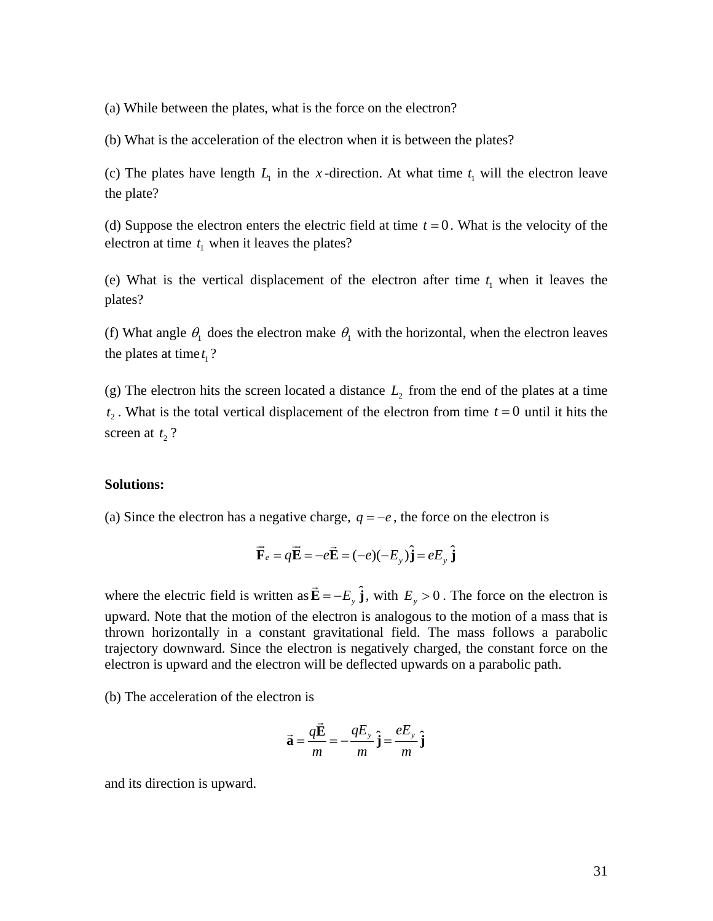(a) While between the plates, what is the force on the electron?

) What is the acceleration of the electron when it is between the plates? (b

(c) The plates have length  $L_1$  in the x-direction. At what time  $t_1$  will the electron leave the plate?

(d) Suppose the electron enters the electric field at time  $t = 0$ . What is the velocity of the electron at time  $t_1$  when it leaves the plates?

(e) What is the vertical displacement of the electron after time  $t_1$  when it leaves the plates?

(f) What angle  $\theta_1$  does the electron make  $\theta_1$  with the horizontal, when the electron leaves the plates at time  $t_1$ ?

(g) The electron hits the screen located a distance  $L<sub>2</sub>$  from the end of the plates at a time  $t_2$ . What is the total vertical displacement of the electron from time  $t = 0$  until it hits the screen at  $t_2$ ?

# Solutions:

(a) Since the electron has a negative charge,  $q = -e$ , the force on the electron is

$$
\vec{\mathbf{F}}_e = q\vec{\mathbf{E}} = -e\vec{\mathbf{E}} = (-e)(-E_y)\hat{\mathbf{j}} = eE_y\hat{\mathbf{j}}
$$

where the electric field is written as  $\vec{E} = -E_y \hat{j}$ , with  $E_y > 0$ . The force on the electron is upward. Note that the motion of the electron is analogous to the motion of a mass that is thrown horizontally in a constant gravitational field. The mass follows a parabolic trajectory downward. Since the electron is negatively charged, the constant force on the electron is upward and the electron will be deflected upwards on a parabolic path.

) The acceleration of the electron is (b

$$
\vec{\mathbf{a}} = \frac{q\vec{\mathbf{E}}}{m} = -\frac{qE_y}{m}\hat{\mathbf{j}} = \frac{eE_y}{m}\hat{\mathbf{j}}
$$

and its direction is upward.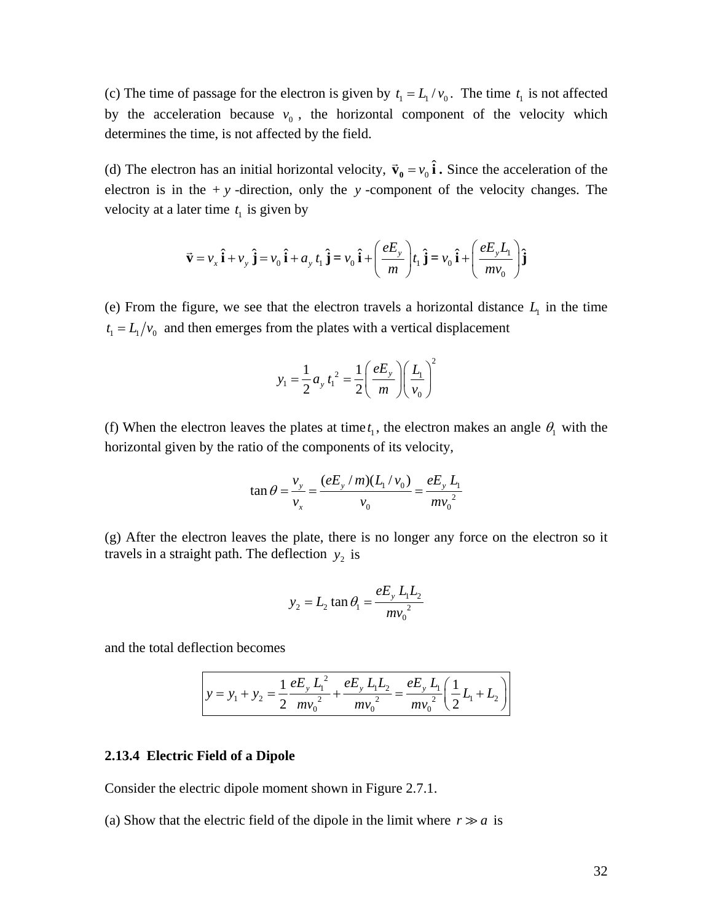<span id="page-32-0"></span>(c) The time of passage for the electron is given by  $t_1 = L_1 / v_0$ . The time  $t_1$  is not affected by the acceleration because  $v_0$ , the horizontal component of the velocity which determines the time, is not affected by the field.

(d) The electron has an initial horizontal velocity,  $\vec{v}_0 = v_0 \hat{i}$ . Since the acceleration of the electron is in the  $+y$ -direction, only the *y*-component of the velocity changes. The velocity at a later time  $t_1$  is given by

$$
\vec{\mathbf{v}} = v_x \hat{\mathbf{i}} + v_y \hat{\mathbf{j}} = v_0 \hat{\mathbf{i}} + a_y t_1 \hat{\mathbf{j}} = v_0 \hat{\mathbf{i}} + \left(\frac{eE_y}{m}\right) t_1 \hat{\mathbf{j}} = v_0 \hat{\mathbf{i}} + \left(\frac{eE_y L_1}{m v_0}\right) \hat{\mathbf{j}}
$$

(e) From the figure, we see that the electron travels a horizontal distance  $L<sub>1</sub>$  in the time  $t_1 = L_1/v_0$  and then emerges from the plates with a vertical displacement

$$
y_1 = \frac{1}{2} a_y t_1^2 = \frac{1}{2} \left( \frac{e E_y}{m} \right) \left( \frac{L_1}{v_0} \right)^2
$$

(f) When the electron leaves the plates at time  $t_1$ , the electron makes an angle  $\theta_1$  with the horizontal given by the ratio of the components of its velocity,

$$
\tan \theta = \frac{v_y}{v_x} = \frac{(eE_y/m)(L_1/v_0)}{v_0} = \frac{eE_y L_1}{mv_0^2}
$$

(g) After the electron leaves the plate, there is no longer any force on the electron so it travels in a straight path. The deflection  $y_2$  is

$$
y_2 = L_2 \tan \theta_1 = \frac{eE_y L_1 L_2}{mv_0^2}
$$

and the total deflection becomes

$$
y = y_1 + y_2 = \frac{1}{2} \frac{eE_y L_1^2}{mv_0^2} + \frac{eE_y L_1 L_2}{mv_0^2} = \frac{eE_y L_1}{mv_0^2} \left(\frac{1}{2}L_1 + L_2\right)
$$

#### **2.13.4 Electric Field of a Dipole**

Consider the electric dipole moment shown in Figure 2.7.1.

(a) Show that the electric field of the dipole in the limit where  $r \gg a$  is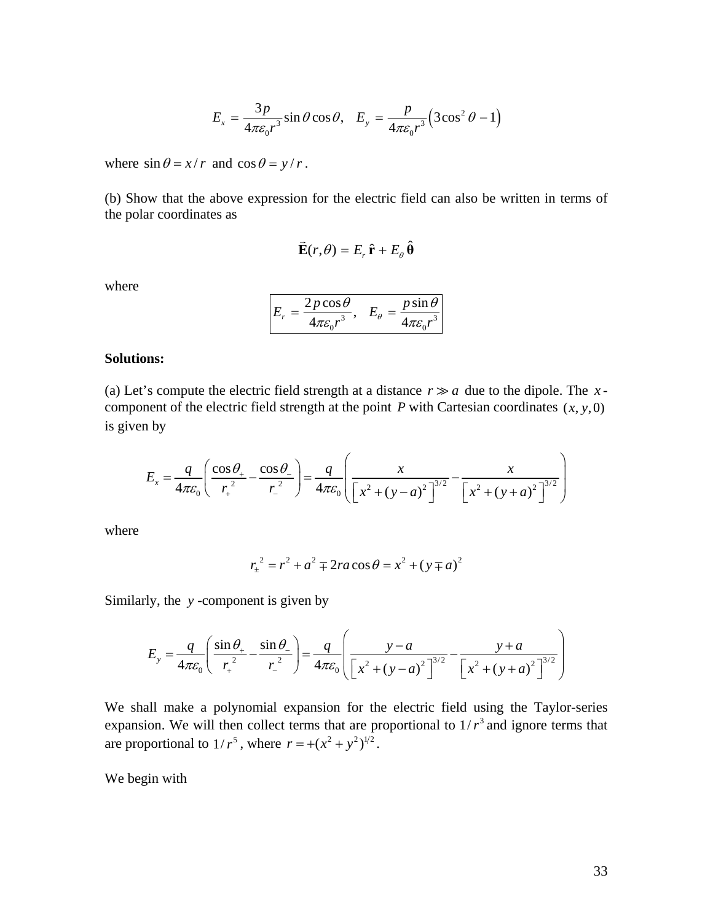$$
E_x = \frac{3p}{4\pi\epsilon_0 r^3} \sin\theta \cos\theta, \quad E_y = \frac{p}{4\pi\epsilon_0 r^3} \left(3\cos^2\theta - 1\right)
$$

where  $\sin \theta = x/r$  and  $\cos \theta = y/r$ .

(b) Show that the above expression for the electric field can also be written in terms of the polar coordinates as

$$
\vec{\mathbf{E}}(r,\theta) = E_r \,\hat{\mathbf{r}} + E_\theta \,\hat{\mathbf{\theta}}
$$

where

$$
E_r = \frac{2p\cos\theta}{4\pi\varepsilon_0 r^3}, \quad E_\theta = \frac{p\sin\theta}{4\pi\varepsilon_0 r^3}
$$

# **Solutions:**

(a) Let's compute the electric field strength at a distance  $r \gg a$  due to the dipole. The xcomponent of the electric field strength at the point  $P$  with Cartesian coordinates  $(x, y, 0)$ is given by

$$
E_x = \frac{q}{4\pi\varepsilon_0} \left( \frac{\cos\theta_+}{r_+^2} - \frac{\cos\theta_-}{r_-^2} \right) = \frac{q}{4\pi\varepsilon_0} \left( \frac{x}{\left[ x^2 + (y - a)^2 \right]^{3/2}} - \frac{x}{\left[ x^2 + (y + a)^2 \right]^{3/2}} \right)
$$

where

$$
r_{\pm}^{2} = r^{2} + a^{2} \mp 2ra\cos\theta = x^{2} + (y \mp a)^{2}
$$

Similarly, the *y* -component is given by

$$
E_y = \frac{q}{4\pi\varepsilon_0} \left( \frac{\sin \theta_+}{r_+^2} - \frac{\sin \theta_-}{r_-^2} \right) = \frac{q}{4\pi\varepsilon_0} \left( \frac{y-a}{\left[ x^2 + (y-a)^2 \right]^{3/2}} - \frac{y+a}{\left[ x^2 + (y+a)^2 \right]^{3/2}} \right)
$$

We shall make a polynomial expansion for the electric field using the Taylor-series expansion. We will then collect terms that are proportional to  $1/r<sup>3</sup>$  and ignore terms that are proportional to  $1/r^5$ , where  $r = +(x^2 + y^2)^{1/2}$ .

We begin with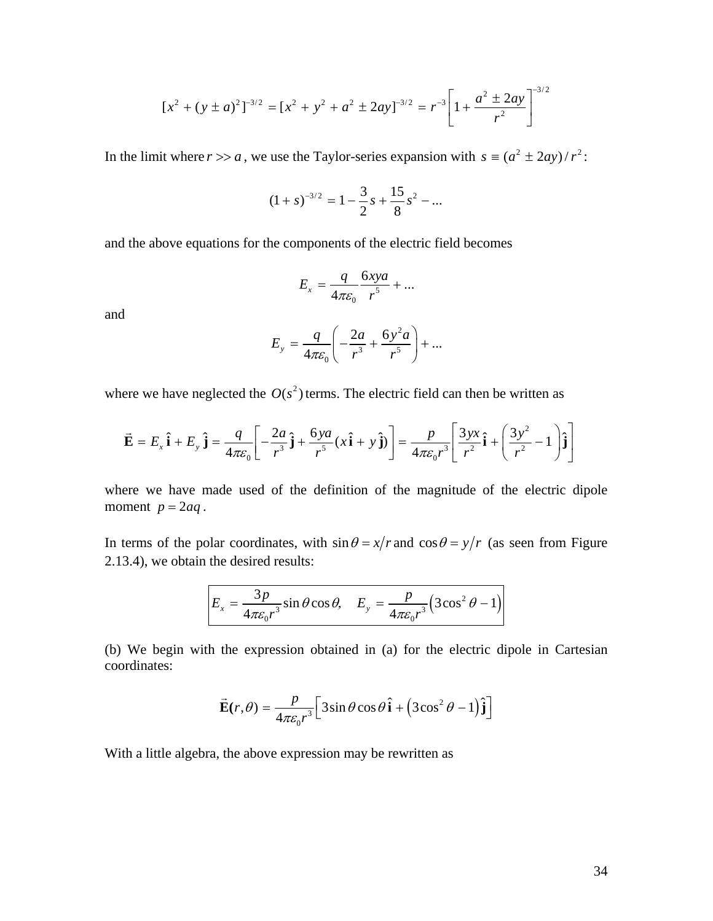$$
[x^{2} + (y \pm a)^{2}]^{-3/2} = [x^{2} + y^{2} + a^{2} \pm 2ay]^{-3/2} = r^{-3} \left[1 + \frac{a^{2} \pm 2ay}{r^{2}}\right]^{-3/2}
$$

In the limit where  $r \gg a$ , we use the Taylor-series expansion with  $s = (a^2 \pm 2ay)/r^2$ .

$$
(1+s)^{-3/2} = 1 - \frac{3}{2}s + \frac{15}{8}s^2 - \dots
$$

and the above equations for the components of the electric field becomes

$$
E_x = \frac{q}{4\pi\varepsilon_0} \frac{6xyz}{r^5} + \dots
$$

and

$$
E_y = \frac{q}{4\pi\varepsilon_0} \left( -\frac{2a}{r^3} + \frac{6y^2a}{r^5} \right) + \dots
$$

where we have neglected the  $O(s^2)$  terms. The electric field can then be written as

$$
\vec{\mathbf{E}} = E_x \hat{\mathbf{i}} + E_y \hat{\mathbf{j}} = \frac{q}{4\pi\varepsilon_0} \left[ -\frac{2a}{r^3} \hat{\mathbf{j}} + \frac{6ya}{r^5} (x \hat{\mathbf{i}} + y \hat{\mathbf{j}}) \right] = \frac{p}{4\pi\varepsilon_0 r^3} \left[ \frac{3yx}{r^2} \hat{\mathbf{i}} + \left( \frac{3y^2}{r^2} - 1 \right) \hat{\mathbf{j}} \right]
$$

moment  $p = 2aq$ . where we have made used of the definition of the magnitude of the electric dipole

In terms of the polar coordinates, with  $\sin \theta = x/r$  and  $\cos \theta = y/r$  (as seen from Figure 2.13.4), we obtain the desired results:

$$
E_x = \frac{3p}{4\pi\varepsilon_0 r^3} \sin\theta \cos\theta, \quad E_y = \frac{p}{4\pi\varepsilon_0 r^3} \left(3\cos^2\theta - 1\right)
$$

(b) We begin with the expression obtained in (a) for the electric dipole in Cartesian coordinates:

$$
\vec{\mathbf{E}}(r,\theta) = \frac{p}{4\pi\varepsilon_0 r^3} \Big[ 3\sin\theta\cos\theta \,\hat{\mathbf{i}} + (3\cos^2\theta - 1)\hat{\mathbf{j}} \Big]
$$

With a little algebra, the above expression may be rewritten as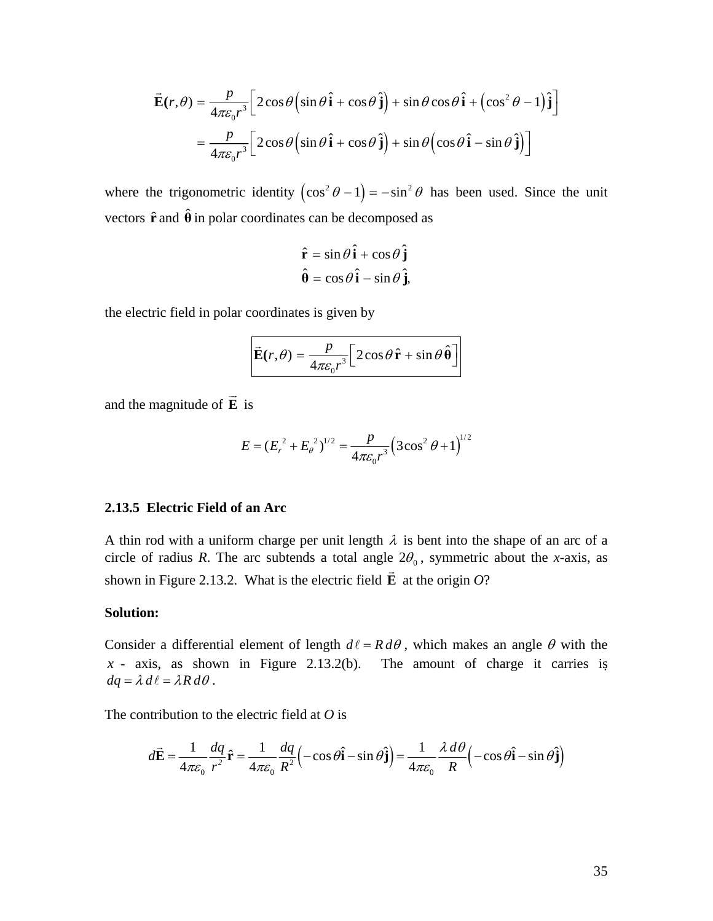<span id="page-35-0"></span>
$$
\vec{\mathbf{E}}(r,\theta) = \frac{p}{4\pi\varepsilon_0 r^3} \Big[ 2\cos\theta \Big(\sin\theta \,\hat{\mathbf{i}} + \cos\theta \,\hat{\mathbf{j}}\Big) + \sin\theta\cos\theta \,\hat{\mathbf{i}} + \Big(\cos^2\theta - 1\Big)\,\hat{\mathbf{j}}\Big]
$$

$$
= \frac{p}{4\pi\varepsilon_0 r^3} \Big[ 2\cos\theta \Big(\sin\theta \,\hat{\mathbf{i}} + \cos\theta \,\hat{\mathbf{j}}\Big) + \sin\theta \Big(\cos\theta \,\hat{\mathbf{i}} - \sin\theta \,\hat{\mathbf{j}}\Big) \Big]
$$

where the trigonometric identity  $(\cos^2 \theta - 1) = -\sin^2 \theta$  has been used. Since the unit vectors  $\hat{\mathbf{r}}$  and  $\hat{\mathbf{\theta}}$  in polar coordinates can be decomposed as

$$
\hat{\mathbf{r}} = \sin \theta \, \hat{\mathbf{i}} + \cos \theta \, \hat{\mathbf{j}}
$$

$$
\hat{\mathbf{\theta}} = \cos \theta \, \hat{\mathbf{i}} - \sin \theta \, \hat{\mathbf{j}},
$$

the electric field in polar coordinates is given by

$$
\vec{\mathbf{E}}(r,\theta) = \frac{p}{4\pi\varepsilon_0 r^3} \left[2\cos\theta \,\hat{\mathbf{r}} + \sin\theta \,\hat{\mathbf{\theta}}\right]
$$

and the magnitude of **E** is  $\rightarrow$ 

$$
E = (E_r^2 + E_\theta^2)^{1/2} = \frac{p}{4\pi\varepsilon_0 r^3} (3\cos^2\theta + 1)^{1/2}
$$

# **2.13.5 Electric Field of an Arc**

A thin rod with a uniform charge per unit length  $\lambda$  is bent into the shape of an arc of a circle of radius *R*. The arc subtends a total angle  $2\theta_0$ , symmetric about the *x*-axis, as shown in Figure 2.13.2. What is the electric field **E** at the origin *O*?

#### **Solution:**

Consider a differential element of length  $d\ell = R d\theta$ , which makes an angle  $\theta$  with the  $x - x$  axis, as shown in Figure 2.13.2(b). The amount of charge it carries is  $dq = \lambda d\ell = \lambda R d\theta$ .

The contribution to the electric field at *O* is

$$
d\vec{\mathbf{E}} = \frac{1}{4\pi\varepsilon_0} \frac{dq}{r^2} \hat{\mathbf{r}} = \frac{1}{4\pi\varepsilon_0} \frac{dq}{R^2} \left( -\cos\theta \hat{\mathbf{i}} - \sin\theta \hat{\mathbf{j}} \right) = \frac{1}{4\pi\varepsilon_0} \frac{\lambda \, d\theta}{R} \left( -\cos\theta \hat{\mathbf{i}} - \sin\theta \hat{\mathbf{j}} \right)
$$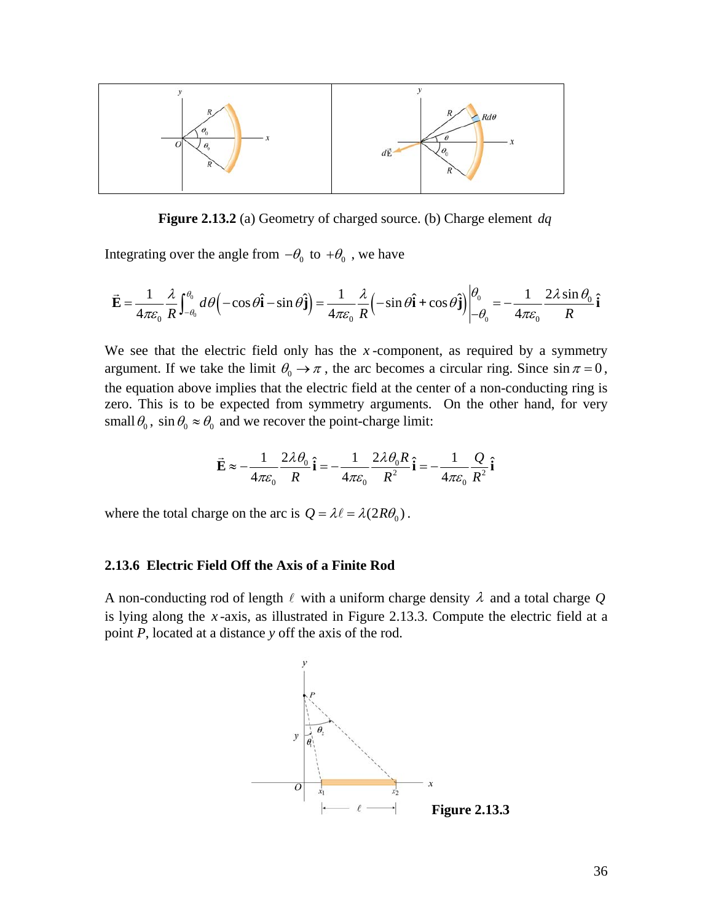<span id="page-36-0"></span>

**Figure 2.13.2** (a) Geometry of charged source. (b) Charge element *dq*

Integrating over the angle from  $-\theta_0$  to  $+\theta_0$ , we have

$$
\vec{\mathbf{E}} = \frac{1}{4\pi\varepsilon_0} \frac{\lambda}{R} \int_{-\theta_0}^{\theta_0} d\theta \left( -\cos\theta \hat{\mathbf{i}} - \sin\theta \hat{\mathbf{j}} \right) = \frac{1}{4\pi\varepsilon_0} \frac{\lambda}{R} \left( -\sin\theta \hat{\mathbf{i}} + \cos\theta \hat{\mathbf{j}} \right) \Big|_{-\theta_0}^{\theta_0} = -\frac{1}{4\pi\varepsilon_0} \frac{2\lambda \sin\theta_0}{R} \hat{\mathbf{i}}
$$

We see that the electric field only has the *x*-component, as required by a symmetry argument. If we take the limit  $\theta_0 \to \pi$ , the arc becomes a circular ring. Since  $\sin \pi = 0$ , the equation above implies that the electric field at the center of a non-conducting ring is zero. This is to be expected from symmetry arguments. On the other hand, for very small  $\theta_0$ , sin  $\theta_0 \approx \theta_0$  and we recover the point-charge limit:

$$
\vec{\mathbf{E}} \approx -\frac{1}{4\pi\varepsilon_0} \frac{2\lambda \theta_0}{R} \hat{\mathbf{i}} = -\frac{1}{4\pi\varepsilon_0} \frac{2\lambda \theta_0 R}{R^2} \hat{\mathbf{i}} = -\frac{1}{4\pi\varepsilon_0} \frac{Q}{R^2} \hat{\mathbf{i}}
$$

where the total charge on the arc is  $Q = \lambda \ell = \lambda (2R\theta_0)$ .

# **2.13.6 Electric Field Off the Axis of a Finite Rod**

A non-conducting rod of length  $\ell$  with a uniform charge density  $\lambda$  and a total charge  $Q$ is lying along the *x* -axis, as illustrated in Figure 2.13.3. Compute the electric field at a point *P*, located at a distance *y* off the axis of the rod.

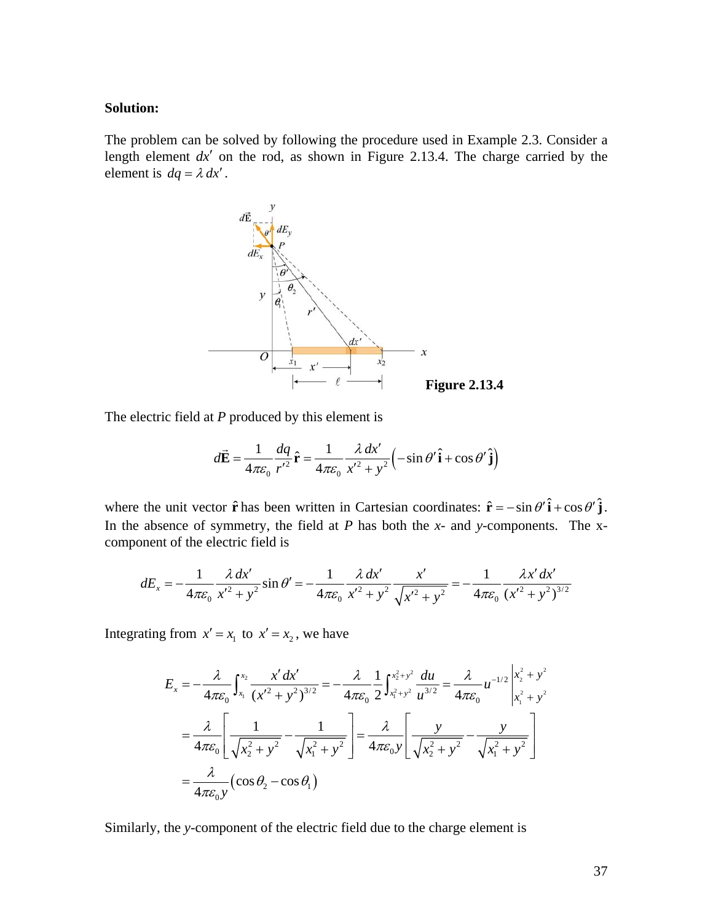#### **Solution:**

The problem can be solved by following the procedure used in Example 2.3. Consider a length element  $dx'$  on the rod, as shown in Figure 2.13.4. The charge carried by the element is  $dq = \lambda dx'$ .



The electric field at *P* produced by this element is

$$
d\vec{\mathbf{E}} = \frac{1}{4\pi\varepsilon_0} \frac{dq}{r'^2} \hat{\mathbf{r}} = \frac{1}{4\pi\varepsilon_0} \frac{\lambda \, dx'}{x'^2 + y^2} \left( -\sin\theta' \hat{\mathbf{i}} + \cos\theta' \hat{\mathbf{j}} \right)
$$

where the unit vector  $\hat{\mathbf{r}}$  has been written in Cartesian coordinates:  $\hat{\mathbf{r}} = -\sin \theta' \hat{\mathbf{i}} + \cos \theta' \hat{\mathbf{j}}$ . In the absence of symmetry, the field at *P* has both the *x*- and *y*-components. The xcomponent of the electric field is

$$
dE_x = -\frac{1}{4\pi\varepsilon_0} \frac{\lambda \, dx'}{x'^2 + y^2} \sin \theta' = -\frac{1}{4\pi\varepsilon_0} \frac{\lambda \, dx'}{x'^2 + y^2} \frac{x'}{\sqrt{x'^2 + y^2}} = -\frac{1}{4\pi\varepsilon_0} \frac{\lambda x' \, dx'}{(x'^2 + y^2)^{3/2}}
$$

Integrating from  $x' = x_1$  to  $x' = x_2$ , we have

$$
E_x = -\frac{\lambda}{4\pi\epsilon_0} \int_{x_1}^{x_2} \frac{x' dx'}{(x'^2 + y^2)^{3/2}} = -\frac{\lambda}{4\pi\epsilon_0} \frac{1}{2} \int_{x_1^2 + y^2}^{x_2^2 + y^2} \frac{du}{u^{3/2}} = \frac{\lambda}{4\pi\epsilon_0} u^{-1/2} \Big|_{x_1^2 + y^2}^{x_2^2 + y^2}
$$
  
=  $\frac{\lambda}{4\pi\epsilon_0} \Bigg[ \frac{1}{\sqrt{x_2^2 + y^2}} - \frac{1}{\sqrt{x_1^2 + y^2}} \Bigg] = \frac{\lambda}{4\pi\epsilon_0 y} \Bigg[ \frac{y}{\sqrt{x_2^2 + y^2}} - \frac{y}{\sqrt{x_1^2 + y^2}} \Bigg]$   
=  $\frac{\lambda}{4\pi\epsilon_0 y} (\cos \theta_2 - \cos \theta_1)$ 

Similarly, the *y*-component of the electric field due to the charge element is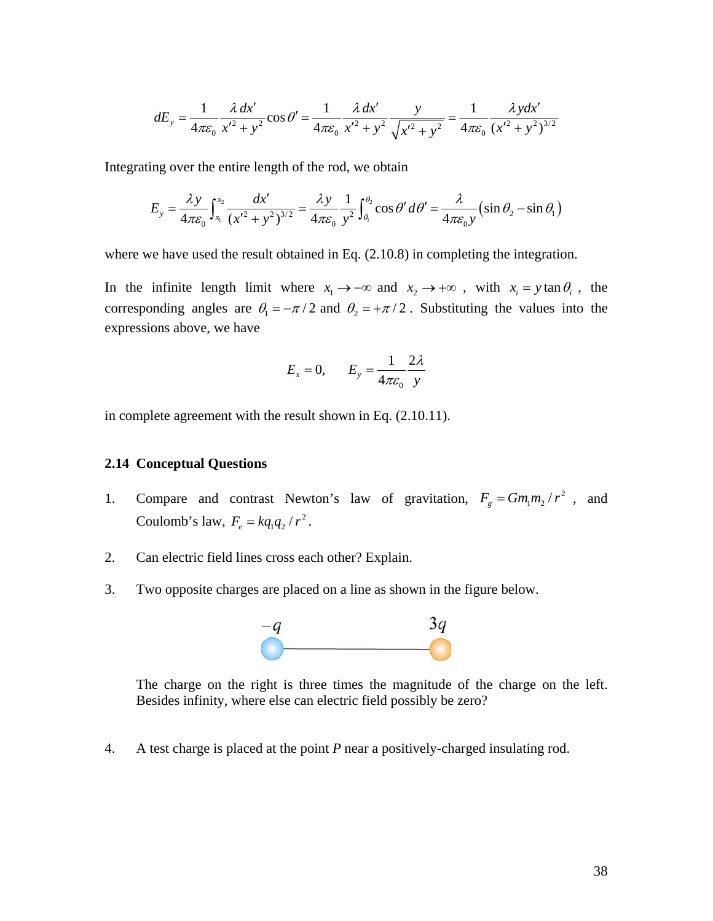<span id="page-38-0"></span>
$$
dE_y = \frac{1}{4\pi\varepsilon_0} \frac{\lambda \, dx'}{x'^2 + y^2} \cos \theta' = \frac{1}{4\pi\varepsilon_0} \frac{\lambda \, dx'}{x'^2 + y^2} \frac{y}{\sqrt{x'^2 + y^2}} = \frac{1}{4\pi\varepsilon_0} \frac{\lambda \, y \, dx'}{(x'^2 + y^2)^{3/2}}
$$

Integrating over the entire length of the rod, we obtain

$$
E_y = \frac{\lambda y}{4\pi\varepsilon_0} \int_{x_1}^{x_2} \frac{dx'}{(x'^2 + y^2)^{3/2}} = \frac{\lambda y}{4\pi\varepsilon_0} \frac{1}{y^2} \int_{\theta_1}^{\theta_2} \cos\theta' d\theta' = \frac{\lambda}{4\pi\varepsilon_0 y} \left(\sin\theta_2 - \sin\theta_1\right)
$$

where we have used the result obtained in Eq.  $(2.10.8)$  in completing the integration.

In the infinite length limit where  $x_1 \rightarrow -\infty$  and  $x_2 \rightarrow +\infty$ , with  $x_i = y \tan \theta_i$ , the corresponding angles are  $\theta_1 = -\pi/2$  and  $\theta_2 = +\pi/2$ . Substituting the values into the expressions above, we have

$$
E_x = 0, \qquad E_y = \frac{1}{4\pi\varepsilon_0} \frac{2\lambda}{y}
$$

in complete agreement with the result shown in Eq. (2.10.11).

# **2.14 Conceptual Questions**

- 1. Compare and contrast Newton's law of gravitation,  $F_g = Gm_1m_2/r^2$ , and Coulomb's law,  $F_e = kq_1q_2 / r^2$ .
- 2. Can electric field lines cross each other? Explain.
- 3. Two opposite charges are placed on a line as shown in the figure below.



The charge on the right is three times the magnitude of the charge on the left. Besides infinity, where else can electric field possibly be zero?

4. A test charge is placed at the point *P* near a positively-charged insulating rod.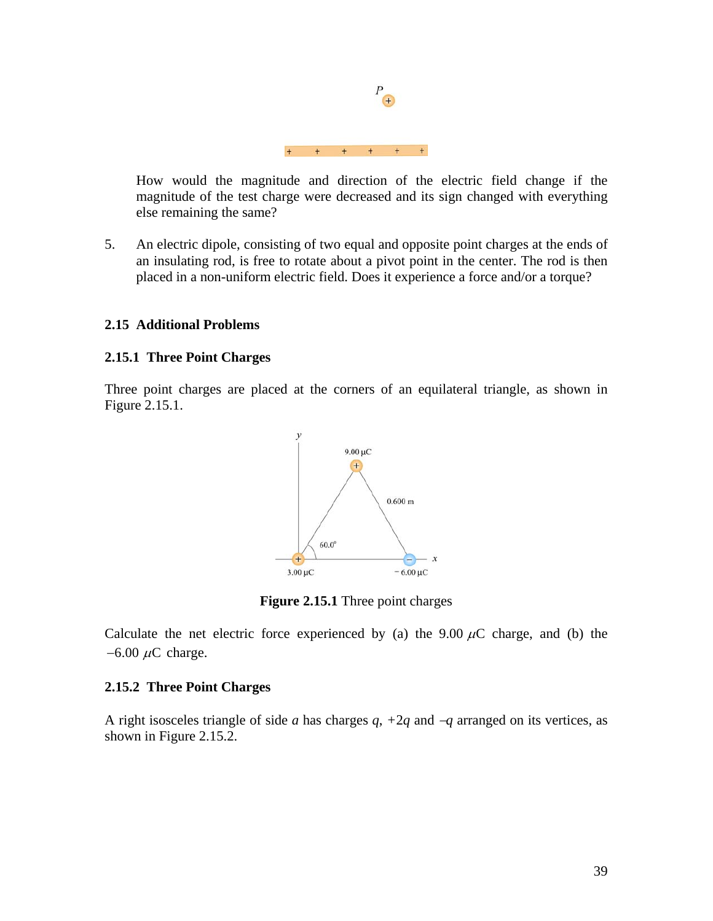<span id="page-39-0"></span>How would the magnitude and direction of the electric field change if the magnitude of the test charge were decreased and its sign changed with everything else remaining the same?

5. An electric dipole, consisting of two equal and opposite point charges at the ends of an insulating rod, is free to rotate about a pivot point in the center. The rod is then placed in a non-uniform electric field. Does it experience a force and/or a torque?

# **2.15 Additional Problems**

# **2.15.1 Three Point Charges**

Three point charges are placed at the corners of an equilateral triangle, as shown in Figure 2.15.1.



**Figure 2.15.1** Three point charges

Calculate the net electric force experienced by (a) the 9.00  $\mu$ C charge, and (b) the  $-6.00 \mu C$  charge.

# **2.15.2 Three Point Charges**

A right isosceles triangle of side *a* has charges *q*, *+*2*q* and −*q* arranged on its vertices, as shown in Figure 2.15.2.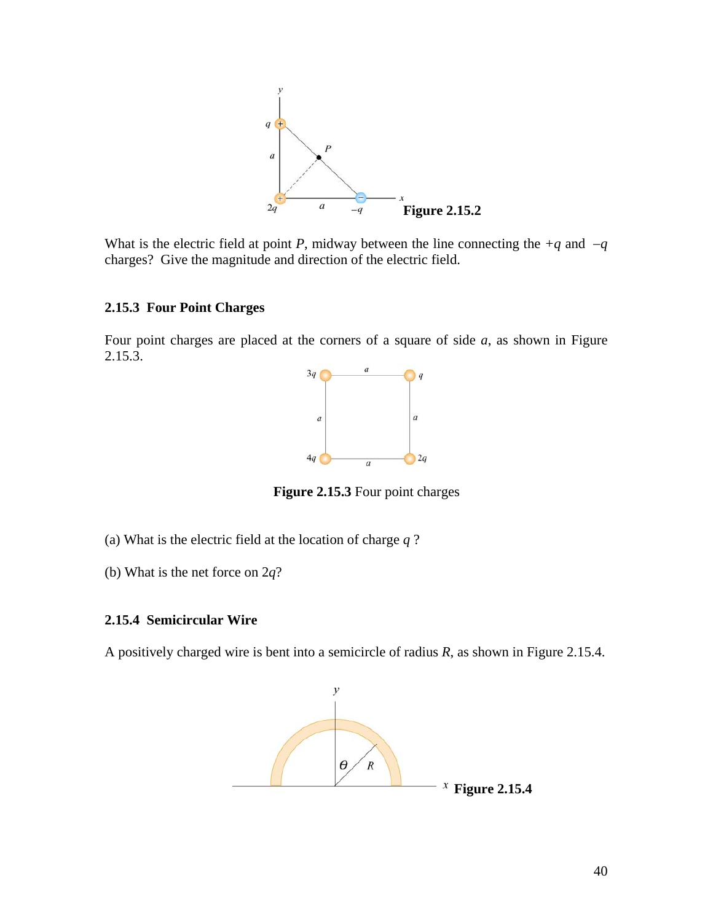<span id="page-40-0"></span>

What is the electric field at point *P*, midway between the line connecting the  $+q$  and  $-q$ charges? Give the magnitude and direction of the electric field.

# **2.15.3 Four Point Charges**

Four point charges are placed at the corners of a square of side *a*, as shown in Figure  $2.15.\overline{3}$ .



**Figure 2.15.3** Four point charges

- (a) What is the electric field at the location of charge *q* ?
- (b) What is the net force on 2*q*?

# **2.15.4 Semicircular Wire**

A positively charged wire is bent into a semicircle of radius *R*, as shown in Figure 2.15.4.

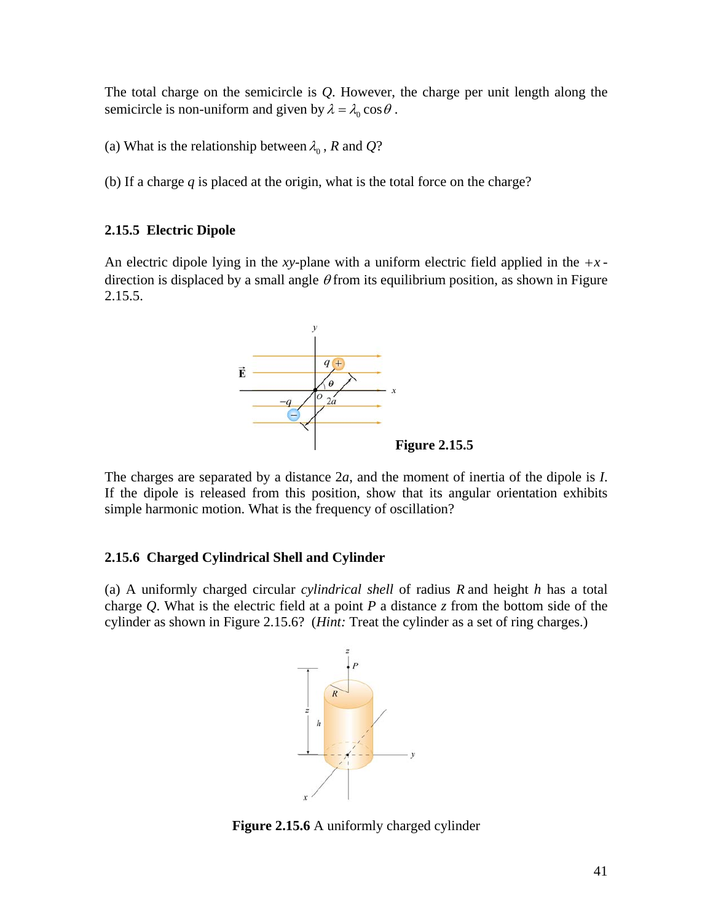<span id="page-41-0"></span>The total charge on the semicircle is *Q*. However, the charge per unit length along the semicircle is non-uniform and given by  $\lambda = \lambda_0 \cos \theta$ .

(a) What is the relationship between  $\lambda_0$ , *R* and *Q*?

(b) If a charge *q* is placed at the origin, what is the total force on the charge?

# **2.15.5 Electric Dipole**

An electric dipole lying in the *xy*-plane with a uniform electric field applied in the  $+x$ direction is displaced by a small angle  $\theta$  from its equilibrium position, as shown in Figure 2.15.5.



The charges are separated by a distance 2*a*, and the moment of inertia of the dipole is *I*. If the dipole is released from this position, show that its angular orientation exhibits simple harmonic motion. What is the frequency of oscillation?

# **2.15.6 Charged Cylindrical Shell and Cylinder**

(a) A uniformly charged circular *cylindrical shell* of radius *R* and height *h* has a total charge *Q*. What is the electric field at a point *P* a distance *z* from the bottom side of the cylinder as shown in Figure 2.15.6? (*Hint:* Treat the cylinder as a set of ring charges.)



**Figure 2.15.6** A uniformly charged cylinder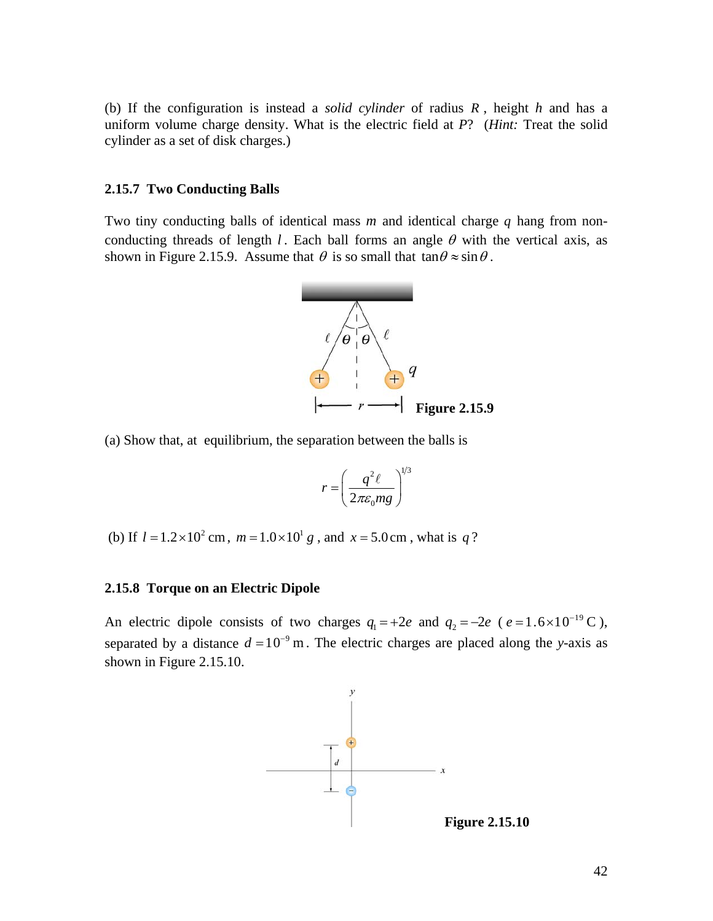<span id="page-42-0"></span>(b) If the configuration is instead a *solid cylinder* of radius *R* , height *h* and has a uniform volume charge density. What is the electric field at *P*? (*Hint:* Treat the solid cylinder as a set of disk charges.)

#### **2.15.7 Two Conducting Balls**

Two tiny conducting balls of identical mass  $m$  and identical charge  $q$  hang from nonconducting threads of length *l*. Each ball forms an angle  $\theta$  with the vertical axis, as shown in Figure 2.15.9. Assume that  $\theta$  is so small that  $\tan \theta \approx \sin \theta$ .



(a) Show that, at equilibrium, the separation between the balls is

$$
r = \left(\frac{q^2\ell}{2\pi\varepsilon_0 mg}\right)^{1/3}
$$

(b) If  $l = 1.2 \times 10^2$  cm,  $m = 1.0 \times 10^1$  g, and  $x = 5.0$  cm, what is q?

#### **2.15.8 Torque on an Electric Dipole**

An electric dipole consists of two charges  $q_1 = +2e$  and  $q_2 = -2e$  ( $e = 1.6 \times 10^{-19}$  C), separated by a distance  $d = 10^{-9}$  m. The electric charges are placed along the *y*-axis as shown in Figure 2.15.10.



**Figure 2.15.10**